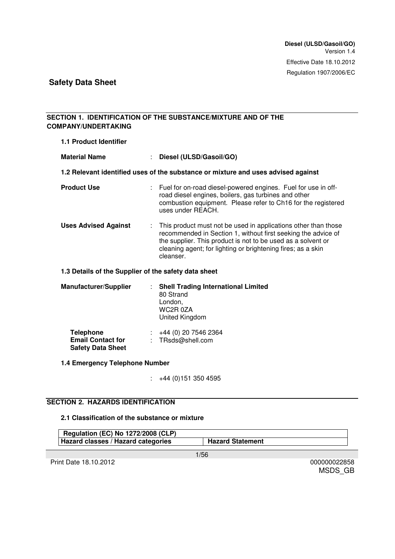#### **SECTION 1. IDENTIFICATION OF THE SUBSTANCE/MIXTURE AND OF THE COMPANY/UNDERTAKING**

| 1.1 Product Identifier                                                   |  |                                                                                                                                                                                                                                                                              |  |  |
|--------------------------------------------------------------------------|--|------------------------------------------------------------------------------------------------------------------------------------------------------------------------------------------------------------------------------------------------------------------------------|--|--|
| <b>Material Name</b>                                                     |  | : Diesel (ULSD/Gasoil/GO)                                                                                                                                                                                                                                                    |  |  |
|                                                                          |  | 1.2 Relevant identified uses of the substance or mixture and uses advised against                                                                                                                                                                                            |  |  |
| <b>Product Use</b>                                                       |  | : Fuel for on-road diesel-powered engines. Fuel for use in off-<br>road diesel engines, boilers, gas turbines and other<br>combustion equipment. Please refer to Ch16 for the registered<br>uses under REACH.                                                                |  |  |
| <b>Uses Advised Against</b>                                              |  | This product must not be used in applications other than those<br>recommended in Section 1, without first seeking the advice of<br>the supplier. This product is not to be used as a solvent or<br>cleaning agent; for lighting or brightening fires; as a skin<br>cleanser. |  |  |
| 1.3 Details of the Supplier of the safety data sheet                     |  |                                                                                                                                                                                                                                                                              |  |  |
| <b>Manufacturer/Supplier</b>                                             |  | : Shell Trading International Limited<br>80 Strand<br>London,<br>WC2R 0ZA<br>United Kingdom                                                                                                                                                                                  |  |  |
| <b>Telephone</b><br><b>Email Contact for</b><br><b>Safety Data Sheet</b> |  | $\div$ +44 (0) 20 7546 2364<br>TRsds@shell.com                                                                                                                                                                                                                               |  |  |
| 1.4 Emergency Telephone Number                                           |  |                                                                                                                                                                                                                                                                              |  |  |

: +44 (0)151 350 4595

#### **SECTION 2. HAZARDS IDENTIFICATION**

#### **2.1 Classification of the substance or mixture**

| <b>Regulation (EC) No 1272/2008 (CLP)</b> |                         |
|-------------------------------------------|-------------------------|
| Hazard classes / Hazard categories        | <b>Hazard Statement</b> |
|                                           |                         |

Print Date 18.10.2012 000000022858

1/56

MSDS\_GB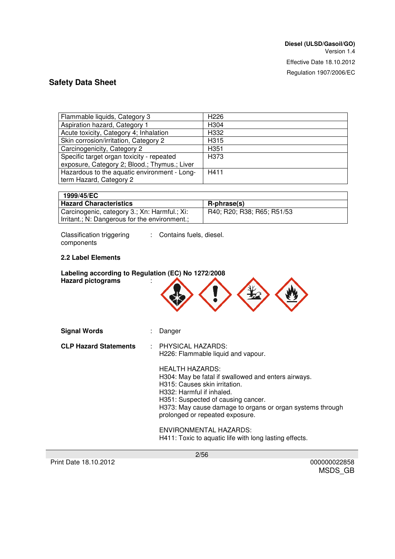| Flammable liquids, Category 3                | H <sub>226</sub> |
|----------------------------------------------|------------------|
| Aspiration hazard, Category 1                | H <sub>304</sub> |
| Acute toxicity, Category 4; Inhalation       | H332             |
| Skin corrosion/irritation, Category 2        | H315             |
| Carcinogenicity, Category 2                  | H351             |
| Specific target organ toxicity - repeated    | H <sub>373</sub> |
| exposure, Category 2; Blood.; Thymus.; Liver |                  |
| Hazardous to the aquatic environment - Long- | H411             |
| term Hazard, Category 2                      |                  |

| 1999/45/EC                                    |                            |
|-----------------------------------------------|----------------------------|
| <b>Hazard Characteristics</b>                 | R-phrase(s)                |
| Carcinogenic, category 3.; Xn: Harmful.; Xi:  | R40; R20; R38; R65; R51/53 |
| Irritant.; N: Dangerous for the environment.; |                            |

Classification triggering components

: Contains fuels, diesel.

#### **2.2 Label Elements**

| Labeling according to Regulation (EC) No 1272/2008<br><b>Hazard pictograms</b> |                                                                                                                                                                                                                                                                                                                                                                       |
|--------------------------------------------------------------------------------|-----------------------------------------------------------------------------------------------------------------------------------------------------------------------------------------------------------------------------------------------------------------------------------------------------------------------------------------------------------------------|
| <b>Signal Words</b>                                                            | Danger                                                                                                                                                                                                                                                                                                                                                                |
| <b>CLP Hazard Statements</b>                                                   | PHYSICAL HAZARDS:<br>H226: Flammable liquid and vapour.                                                                                                                                                                                                                                                                                                               |
|                                                                                | <b>HEALTH HAZARDS:</b><br>H304: May be fatal if swallowed and enters airways.<br>H315: Causes skin irritation.<br>H332: Harmful if inhaled.<br>H351: Suspected of causing cancer.<br>H373: May cause damage to organs or organ systems through<br>prolonged or repeated exposure.<br>ENVIRONMENTAL HAZARDS:<br>H411: Toxic to aquatic life with long lasting effects. |

Print Date 18.10.2012 000000022858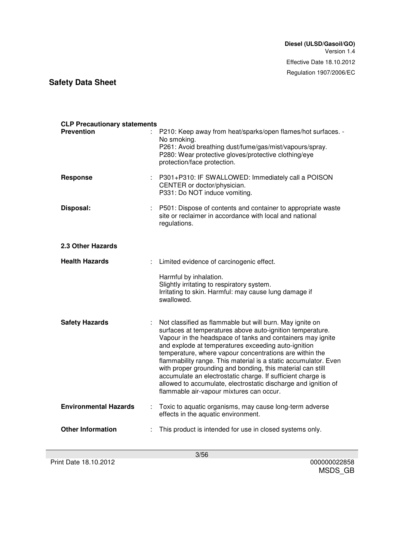Regulation 1907/2006/EC

# **Safety Data Sheet**

| <b>CLP Precautionary statements</b><br><b>Prevention</b> |    | P210: Keep away from heat/sparks/open flames/hot surfaces. -                                                                                                                                                                                                                                                                                                                                                                                                                                                                                                                                                        |
|----------------------------------------------------------|----|---------------------------------------------------------------------------------------------------------------------------------------------------------------------------------------------------------------------------------------------------------------------------------------------------------------------------------------------------------------------------------------------------------------------------------------------------------------------------------------------------------------------------------------------------------------------------------------------------------------------|
|                                                          |    | No smoking.<br>P261: Avoid breathing dust/fume/gas/mist/vapours/spray.<br>P280: Wear protective gloves/protective clothing/eye<br>protection/face protection.                                                                                                                                                                                                                                                                                                                                                                                                                                                       |
| <b>Response</b>                                          |    | P301+P310: IF SWALLOWED: Immediately call a POISON<br>CENTER or doctor/physician.<br>P331: Do NOT induce vomiting.                                                                                                                                                                                                                                                                                                                                                                                                                                                                                                  |
| Disposal:                                                | t. | P501: Dispose of contents and container to appropriate waste<br>site or reclaimer in accordance with local and national<br>regulations.                                                                                                                                                                                                                                                                                                                                                                                                                                                                             |
| 2.3 Other Hazards                                        |    |                                                                                                                                                                                                                                                                                                                                                                                                                                                                                                                                                                                                                     |
| <b>Health Hazards</b>                                    |    | Limited evidence of carcinogenic effect.                                                                                                                                                                                                                                                                                                                                                                                                                                                                                                                                                                            |
|                                                          |    | Harmful by inhalation.<br>Slightly irritating to respiratory system.<br>Irritating to skin. Harmful: may cause lung damage if<br>swallowed.                                                                                                                                                                                                                                                                                                                                                                                                                                                                         |
| <b>Safety Hazards</b>                                    |    | Not classified as flammable but will burn. May ignite on<br>surfaces at temperatures above auto-ignition temperature.<br>Vapour in the headspace of tanks and containers may ignite<br>and explode at temperatures exceeding auto-ignition<br>temperature, where vapour concentrations are within the<br>flammability range. This material is a static accumulator. Even<br>with proper grounding and bonding, this material can still<br>accumulate an electrostatic charge. If sufficient charge is<br>allowed to accumulate, electrostatic discharge and ignition of<br>flammable air-vapour mixtures can occur. |
| <b>Environmental Hazards</b>                             |    | Toxic to aquatic organisms, may cause long-term adverse<br>effects in the aquatic environment.                                                                                                                                                                                                                                                                                                                                                                                                                                                                                                                      |
| <b>Other Information</b>                                 |    | This product is intended for use in closed systems only.                                                                                                                                                                                                                                                                                                                                                                                                                                                                                                                                                            |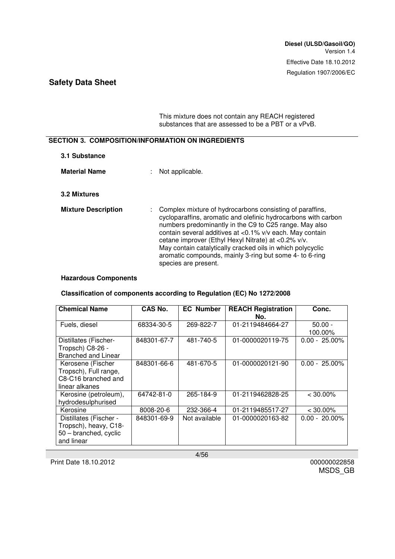This mixture does not contain any REACH registered substances that are assessed to be a PBT or a vPvB.

### **SECTION 3. COMPOSITION/INFORMATION ON INGREDIENTS**

| 3.1 Substance              |                                                                                                                                                                                                                                                                                                                                                                                                                                                          |
|----------------------------|----------------------------------------------------------------------------------------------------------------------------------------------------------------------------------------------------------------------------------------------------------------------------------------------------------------------------------------------------------------------------------------------------------------------------------------------------------|
| <b>Material Name</b>       | Not applicable.                                                                                                                                                                                                                                                                                                                                                                                                                                          |
| 3.2 Mixtures               |                                                                                                                                                                                                                                                                                                                                                                                                                                                          |
| <b>Mixture Description</b> | Complex mixture of hydrocarbons consisting of paraffins,<br>cycloparaffins, aromatic and olefinic hydrocarbons with carbon<br>numbers predominantly in the C9 to C25 range. May also<br>contain several additives at <0.1% v/v each. May contain<br>cetane improver (Ethyl Hexyl Nitrate) at <0.2% v/v.<br>May contain catalytically cracked oils in which polycyclic<br>aromatic compounds, mainly 3-ring but some 4- to 6-ring<br>species are present. |

#### **Hazardous Components**

#### **Classification of components according to Regulation (EC) No 1272/2008**

| <b>Chemical Name</b>                                                                   | CAS No.     | <b>EC Number</b> | <b>REACH Registration</b><br>No. | Conc.                |
|----------------------------------------------------------------------------------------|-------------|------------------|----------------------------------|----------------------|
| Fuels, diesel                                                                          | 68334-30-5  | 269-822-7        | 01-2119484664-27                 | $50.00 -$<br>100.00% |
| Distillates (Fischer-<br>Tropsch) C8-26 -<br><b>Branched and Linear</b>                | 848301-67-7 | 481-740-5        | 01-0000020119-75                 | $0.00 - 25.00\%$     |
| Kerosene (Fischer<br>Tropsch), Full range,<br>C8-C16 branched and<br>linear alkanes    | 848301-66-6 | 481-670-5        | 01-0000020121-90                 | $0.00 - 25.00\%$     |
| Kerosine (petroleum),<br>hydrodesulphurised                                            | 64742-81-0  | 265-184-9        | 01-2119462828-25                 | $<$ 30.00%           |
| Kerosine                                                                               | 8008-20-6   | 232-366-4        | 01-2119485517-27                 | $<$ 30.00%           |
| Distillates (Fischer -<br>Tropsch), heavy, C18-<br>50 - branched, cyclic<br>and linear | 848301-69-9 | Not available    | 01-0000020163-82                 | $0.00 - 20.00\%$     |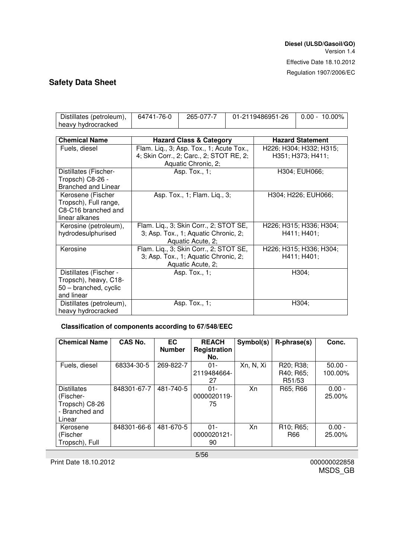| Distillates (petroleum),<br>heavy hydrocracked | 64741-76-0 | 265-077-7                                           |                         | 01-2119486951-26        | $0.00 - 10.00\%$        |  |
|------------------------------------------------|------------|-----------------------------------------------------|-------------------------|-------------------------|-------------------------|--|
|                                                |            |                                                     |                         |                         |                         |  |
| <b>Chemical Name</b>                           |            | <b>Hazard Class &amp; Category</b>                  | <b>Hazard Statement</b> |                         |                         |  |
| Fuels, diesel                                  |            | Flam. Liq., 3; Asp. Tox., 1; Acute Tox.,            |                         | H226; H304; H332; H315; |                         |  |
|                                                |            | 4; Skin Corr., 2; Carc., 2; STOT RE, 2;             |                         |                         | H351; H373; H411;       |  |
|                                                |            | Aquatic Chronic, 2;                                 |                         |                         |                         |  |
| Distillates (Fischer-                          |            | Asp. Tox., 1;                                       |                         |                         | H304; EUH066;           |  |
| Tropsch) C8-26 -                               |            |                                                     |                         |                         |                         |  |
| <b>Branched and Linear</b>                     |            |                                                     |                         |                         |                         |  |
| Kerosene (Fischer                              |            | Asp. Tox., 1; Flam. Liq., 3;                        |                         |                         | H304; H226; EUH066;     |  |
| Tropsch), Full range,                          |            |                                                     |                         |                         |                         |  |
| C8-C16 branched and                            |            |                                                     |                         |                         |                         |  |
| linear alkanes                                 |            |                                                     |                         |                         |                         |  |
| Kerosine (petroleum),                          |            | Flam. Lig., 3; Skin Corr., 2; STOT SE,              |                         |                         | H226; H315; H336; H304; |  |
| hydrodesulphurised                             |            | 3; Asp. Tox., 1; Aquatic Chronic, 2;<br>H411; H401; |                         |                         |                         |  |
|                                                |            | Aquatic Acute, 2;                                   |                         |                         |                         |  |
| Kerosine                                       |            | Flam. Liq., 3; Skin Corr., 2; STOT SE,              |                         |                         | H226; H315; H336; H304; |  |
|                                                |            | 3; Asp. Tox., 1; Aquatic Chronic, 2;                |                         |                         | H411; H401;             |  |
|                                                |            | Aquatic Acute, 2;                                   |                         |                         |                         |  |
| Distillates (Fischer -                         |            | Asp. Tox., 1;                                       |                         |                         | H304;                   |  |
| Tropsch), heavy, C18-                          |            |                                                     |                         |                         |                         |  |
| 50 - branched, cyclic                          |            |                                                     |                         |                         |                         |  |
| and linear                                     |            |                                                     |                         |                         |                         |  |
| Distillates (petroleum),                       |            | Asp. Tox., 1;                                       |                         |                         | H304;                   |  |
| heavy hydrocracked                             |            |                                                     |                         |                         |                         |  |

### **Classification of components according to 67/548/EEC**

| <b>Chemical Name</b>                                                          | <b>CAS No.</b> | EC<br><b>Number</b> | <b>REACH</b><br>Registration<br>No. | Symbol(s) | R-phrase(s)                                | Conc.                |
|-------------------------------------------------------------------------------|----------------|---------------------|-------------------------------------|-----------|--------------------------------------------|----------------------|
| Fuels, diesel                                                                 | 68334-30-5     | 269-822-7           | $01 -$<br>2119484664-<br>27         | Xn, N, Xi | R20; R38;<br>R40; R65;<br>R51/53           | $50.00 -$<br>100.00% |
| <b>Distillates</b><br>(Fischer-<br>Tropsch) C8-26<br>- Branched and<br>Linear | 848301-67-7    | 481-740-5           | $01 -$<br>0000020119-<br>75         | Xn        | R65; R66                                   | $0.00 -$<br>25.00%   |
| Kerosene<br>(Fischer<br>Tropsch), Full                                        | 848301-66-6    | 481-670-5           | $01 -$<br>0000020121-<br>90         | Xn        | R <sub>10</sub> ; R <sub>65</sub> ;<br>R66 | $0.00 -$<br>25.00%   |

5/56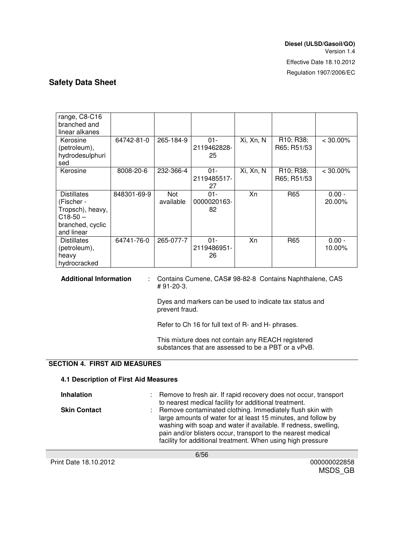Regulation 1907/2006/EC

### **Safety Data Sheet**

| range, C8-C16<br>branched and<br>linear alkanes                                                      |             |                  |                             |           |                                                    |                       |
|------------------------------------------------------------------------------------------------------|-------------|------------------|-----------------------------|-----------|----------------------------------------------------|-----------------------|
| Kerosine<br>(petroleum),<br>hydrodesulphuri<br>sed                                                   | 64742-81-0  | 265-184-9        | $01 -$<br>2119462828-<br>25 | Xi, Xn, N | R <sub>10</sub> ; R <sub>38</sub> ;<br>R65; R51/53 | $< 30.00\%$           |
| Kerosine                                                                                             | 8008-20-6   | 232-366-4        | $01 -$<br>2119485517-<br>27 | Xi, Xn, N | R <sub>10</sub> ; R <sub>38</sub> ;<br>R65; R51/53 | $<$ 30.00%            |
| <b>Distillates</b><br>(Fischer -<br>Tropsch), heavy,<br>$C18-50 -$<br>branched, cyclic<br>and linear | 848301-69-9 | Not<br>available | $01 -$<br>0000020163-<br>82 | Xn        | R65                                                | $0.00 -$<br>$20.00\%$ |
| <b>Distillates</b><br>(petroleum),<br>heavy<br>hydrocracked                                          | 64741-76-0  | 265-077-7        | $01 -$<br>2119486951-<br>26 | Xn        | R65                                                | $0.00 -$<br>10.00%    |

**Additional Information** : Contains Cumene, CAS# 98-82-8 Contains Naphthalene, CAS # 91-20-3.

> Dyes and markers can be used to indicate tax status and prevent fraud.

Refer to Ch 16 for full text of R- and H- phrases.

This mixture does not contain any REACH registered substances that are assessed to be a PBT or a vPvB.

#### **SECTION 4. FIRST AID MEASURES**

#### **4.1 Description of First Aid Measures**

| <b>Inhalation</b>   | : Remove to fresh air. If rapid recovery does not occur, transport<br>to nearest medical facility for additional treatment.                                                                                                                                                                                                    |
|---------------------|--------------------------------------------------------------------------------------------------------------------------------------------------------------------------------------------------------------------------------------------------------------------------------------------------------------------------------|
| <b>Skin Contact</b> | : Remove contaminated clothing. Immediately flush skin with<br>large amounts of water for at least 15 minutes, and follow by<br>washing with soap and water if available. If redness, swelling,<br>pain and/or blisters occur, transport to the nearest medical<br>facility for additional treatment. When using high pressure |

Print Date 18.10.2012 000000022858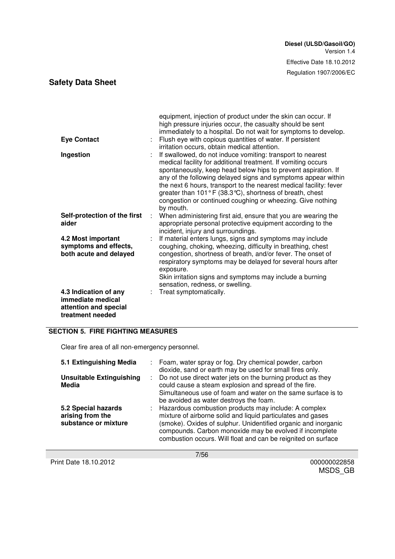| <b>Eye Contact</b>                                                                      |   | equipment, injection of product under the skin can occur. If<br>high pressure injuries occur, the casualty should be sent<br>immediately to a hospital. Do not wait for symptoms to develop.<br>Flush eye with copious quantities of water. If persistent<br>irritation occurs, obtain medical attention.                                                                                                                                                                            |
|-----------------------------------------------------------------------------------------|---|--------------------------------------------------------------------------------------------------------------------------------------------------------------------------------------------------------------------------------------------------------------------------------------------------------------------------------------------------------------------------------------------------------------------------------------------------------------------------------------|
| Ingestion                                                                               |   | If swallowed, do not induce vomiting: transport to nearest<br>medical facility for additional treatment. If vomiting occurs<br>spontaneously, keep head below hips to prevent aspiration. If<br>any of the following delayed signs and symptoms appear within<br>the next 6 hours, transport to the nearest medical facility: fever<br>greater than $101^{\circ}$ F (38.3 °C), shortness of breath, chest<br>congestion or continued coughing or wheezing. Give nothing<br>by mouth. |
| Self-protection of the first<br>aider                                                   | ÷ | When administering first aid, ensure that you are wearing the<br>appropriate personal protective equipment according to the<br>incident, injury and surroundings.                                                                                                                                                                                                                                                                                                                    |
| 4.2 Most important<br>symptoms and effects,<br>both acute and delayed                   |   | If material enters lungs, signs and symptoms may include<br>coughing, choking, wheezing, difficulty in breathing, chest<br>congestion, shortness of breath, and/or fever. The onset of<br>respiratory symptoms may be delayed for several hours after<br>exposure.<br>Skin irritation signs and symptoms may include a burning<br>sensation, redness, or swelling.                                                                                                                   |
| 4.3 Indication of any<br>immediate medical<br>attention and special<br>treatment needed |   | Treat symptomatically.                                                                                                                                                                                                                                                                                                                                                                                                                                                               |

#### **SECTION 5. FIRE FIGHTING MEASURES**

Clear fire area of all non-emergency personnel.

| 5.1 Extinguishing Media                                         |    | : Foam, water spray or fog. Dry chemical powder, carbon<br>dioxide, sand or earth may be used for small fires only.                                                                                                                                                                                                 |
|-----------------------------------------------------------------|----|---------------------------------------------------------------------------------------------------------------------------------------------------------------------------------------------------------------------------------------------------------------------------------------------------------------------|
| <b>Unsuitable Extinguishing</b><br>Media                        | ÷. | Do not use direct water jets on the burning product as they<br>could cause a steam explosion and spread of the fire.<br>Simultaneous use of foam and water on the same surface is to<br>be avoided as water destroys the foam.                                                                                      |
| 5.2 Special hazards<br>arising from the<br>substance or mixture |    | : Hazardous combustion products may include: A complex<br>mixture of airborne solid and liquid particulates and gases<br>(smoke). Oxides of sulphur. Unidentified organic and inorganic<br>compounds. Carbon monoxide may be evolved if incomplete<br>combustion occurs. Will float and can be reignited on surface |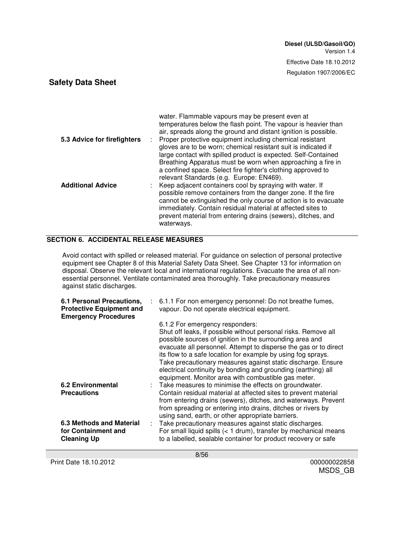| 5.3 Advice for firefighters | water. Flammable vapours may be present even at<br>temperatures below the flash point. The vapour is heavier than<br>air, spreads along the ground and distant ignition is possible.<br>: Proper protective equipment including chemical resistant<br>gloves are to be worn; chemical resistant suit is indicated if<br>large contact with spilled product is expected. Self-Contained<br>Breathing Apparatus must be worn when approaching a fire in<br>a confined space. Select fire fighter's clothing approved to |
|-----------------------------|-----------------------------------------------------------------------------------------------------------------------------------------------------------------------------------------------------------------------------------------------------------------------------------------------------------------------------------------------------------------------------------------------------------------------------------------------------------------------------------------------------------------------|
| <b>Additional Advice</b>    | relevant Standards (e.g. Europe: EN469).<br>: Keep adjacent containers cool by spraying with water. If<br>possible remove containers from the danger zone. If the fire<br>cannot be extinguished the only course of action is to evacuate<br>immediately. Contain residual material at affected sites to<br>prevent material from entering drains (sewers), ditches, and<br>waterways.                                                                                                                                |

#### **SECTION 6. ACCIDENTAL RELEASE MEASURES**

Avoid contact with spilled or released material. For guidance on selection of personal protective equipment see Chapter 8 of this Material Safety Data Sheet. See Chapter 13 for information on disposal. Observe the relevant local and international regulations. Evacuate the area of all nonessential personnel. Ventilate contaminated area thoroughly. Take precautionary measures against static discharges.

| 6.1 Personal Precautions,<br><b>Protective Equipment and</b><br><b>Emergency Procedures</b> | : 6.1.1 For non emergency personnel: Do not breathe fumes,<br>vapour. Do not operate electrical equipment.                                                                                                                                                                                                                                                                                                                                                                                |
|---------------------------------------------------------------------------------------------|-------------------------------------------------------------------------------------------------------------------------------------------------------------------------------------------------------------------------------------------------------------------------------------------------------------------------------------------------------------------------------------------------------------------------------------------------------------------------------------------|
|                                                                                             | 6.1.2 For emergency responders:<br>Shut off leaks, if possible without personal risks. Remove all<br>possible sources of ignition in the surrounding area and<br>evacuate all personnel. Attempt to disperse the gas or to direct<br>its flow to a safe location for example by using fog sprays.<br>Take precautionary measures against static discharge. Ensure<br>electrical continuity by bonding and grounding (earthing) all<br>equipment. Monitor area with combustible gas meter. |
| 6.2 Environmental<br><b>Precautions</b>                                                     | : Take measures to minimise the effects on groundwater.<br>Contain residual material at affected sites to prevent material<br>from entering drains (sewers), ditches, and waterways. Prevent<br>from spreading or entering into drains, ditches or rivers by<br>using sand, earth, or other appropriate barriers.                                                                                                                                                                         |
| <b>6.3 Methods and Material</b><br>for Containment and<br><b>Cleaning Up</b>                | Take precautionary measures against static discharges.<br>For small liquid spills $(1 drum), transfer by mechanical meansto a labelled, sealable container for product recovery or safe$                                                                                                                                                                                                                                                                                                  |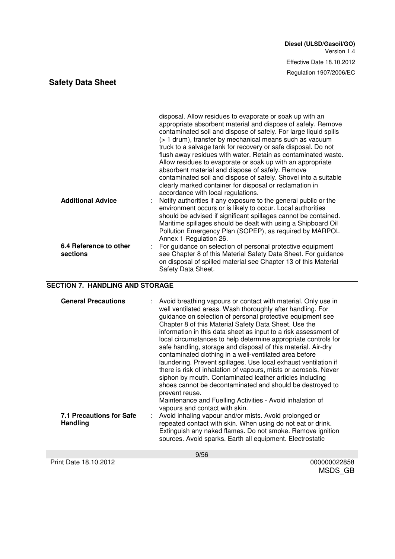|                                    | disposal. Allow residues to evaporate or soak up with an<br>appropriate absorbent material and dispose of safely. Remove<br>contaminated soil and dispose of safely. For large liquid spills<br>(> 1 drum), transfer by mechanical means such as vacuum<br>truck to a salvage tank for recovery or safe disposal. Do not<br>flush away residues with water. Retain as contaminated waste.<br>Allow residues to evaporate or soak up with an appropriate<br>absorbent material and dispose of safely. Remove<br>contaminated soil and dispose of safely. Shovel into a suitable<br>clearly marked container for disposal or reclamation in<br>accordance with local regulations. |
|------------------------------------|---------------------------------------------------------------------------------------------------------------------------------------------------------------------------------------------------------------------------------------------------------------------------------------------------------------------------------------------------------------------------------------------------------------------------------------------------------------------------------------------------------------------------------------------------------------------------------------------------------------------------------------------------------------------------------|
| <b>Additional Advice</b>           | Notify authorities if any exposure to the general public or the<br>environment occurs or is likely to occur. Local authorities<br>should be advised if significant spillages cannot be contained.<br>Maritime spillages should be dealt with using a Shipboard Oil<br>Pollution Emergency Plan (SOPEP), as required by MARPOL<br>Annex 1 Regulation 26.                                                                                                                                                                                                                                                                                                                         |
| 6.4 Reference to other<br>sections | For guidance on selection of personal protective equipment<br>see Chapter 8 of this Material Safety Data Sheet. For guidance<br>on disposal of spilled material see Chapter 13 of this Material<br>Safety Data Sheet.                                                                                                                                                                                                                                                                                                                                                                                                                                                           |

#### **SECTION 7. HANDLING AND STORAGE**

| <b>General Precautions</b>                         | Avoid breathing vapours or contact with material. Only use in<br>well ventilated areas. Wash thoroughly after handling. For<br>guidance on selection of personal protective equipment see<br>Chapter 8 of this Material Safety Data Sheet. Use the<br>information in this data sheet as input to a risk assessment of<br>local circumstances to help determine appropriate controls for<br>safe handling, storage and disposal of this material. Air-dry<br>contaminated clothing in a well-ventilated area before<br>laundering. Prevent spillages. Use local exhaust ventilation if<br>there is risk of inhalation of vapours, mists or aerosols. Never<br>siphon by mouth. Contaminated leather articles including<br>shoes cannot be decontaminated and should be destroyed to<br>prevent reuse.<br>Maintenance and Fuelling Activities - Avoid inhalation of<br>vapours and contact with skin. |
|----------------------------------------------------|-----------------------------------------------------------------------------------------------------------------------------------------------------------------------------------------------------------------------------------------------------------------------------------------------------------------------------------------------------------------------------------------------------------------------------------------------------------------------------------------------------------------------------------------------------------------------------------------------------------------------------------------------------------------------------------------------------------------------------------------------------------------------------------------------------------------------------------------------------------------------------------------------------|
| <b>7.1 Precautions for Safe</b><br><b>Handling</b> | Avoid inhaling vapour and/or mists. Avoid prolonged or<br>repeated contact with skin. When using do not eat or drink.<br>Extinguish any naked flames. Do not smoke. Remove ignition<br>sources. Avoid sparks. Earth all equipment. Electrostatic                                                                                                                                                                                                                                                                                                                                                                                                                                                                                                                                                                                                                                                    |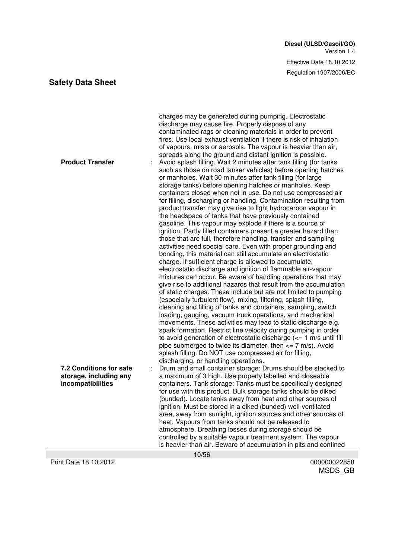| <b>Product Transfer</b>                                                | charges may be generated during pumping. Electrostatic<br>discharge may cause fire. Properly dispose of any<br>contaminated rags or cleaning materials in order to prevent<br>fires. Use local exhaust ventilation if there is risk of inhalation<br>of vapours, mists or aerosols. The vapour is heavier than air,<br>spreads along the ground and distant ignition is possible.<br>Avoid splash filling. Wait 2 minutes after tank filling (for tanks<br>such as those on road tanker vehicles) before opening hatches<br>or manholes. Wait 30 minutes after tank filling (for large<br>storage tanks) before opening hatches or manholes. Keep<br>containers closed when not in use. Do not use compressed air<br>for filling, discharging or handling. Contamination resulting from<br>product transfer may give rise to light hydrocarbon vapour in<br>the headspace of tanks that have previously contained<br>gasoline. This vapour may explode if there is a source of<br>ignition. Partly filled containers present a greater hazard than<br>those that are full, therefore handling, transfer and sampling<br>activities need special care. Even with proper grounding and<br>bonding, this material can still accumulate an electrostatic<br>charge. If sufficient charge is allowed to accumulate,<br>electrostatic discharge and ignition of flammable air-vapour<br>mixtures can occur. Be aware of handling operations that may<br>give rise to additional hazards that result from the accumulation<br>of static charges. These include but are not limited to pumping<br>(especially turbulent flow), mixing, filtering, splash filling,<br>cleaning and filling of tanks and containers, sampling, switch<br>loading, gauging, vacuum truck operations, and mechanical<br>movements. These activities may lead to static discharge e.g.<br>spark formation. Restrict line velocity during pumping in order<br>to avoid generation of electrostatic discharge $\left(<=1\right)$ m/s until fill<br>pipe submerged to twice its diameter, then $\leq$ 7 m/s). Avoid<br>splash filling. Do NOT use compressed air for filling,<br>discharging, or handling operations. |
|------------------------------------------------------------------------|---------------------------------------------------------------------------------------------------------------------------------------------------------------------------------------------------------------------------------------------------------------------------------------------------------------------------------------------------------------------------------------------------------------------------------------------------------------------------------------------------------------------------------------------------------------------------------------------------------------------------------------------------------------------------------------------------------------------------------------------------------------------------------------------------------------------------------------------------------------------------------------------------------------------------------------------------------------------------------------------------------------------------------------------------------------------------------------------------------------------------------------------------------------------------------------------------------------------------------------------------------------------------------------------------------------------------------------------------------------------------------------------------------------------------------------------------------------------------------------------------------------------------------------------------------------------------------------------------------------------------------------------------------------------------------------------------------------------------------------------------------------------------------------------------------------------------------------------------------------------------------------------------------------------------------------------------------------------------------------------------------------------------------------------------------------------------------------------------------------------------------------------------------------------------------------|
| 7.2 Conditions for safe<br>storage, including any<br>incompatibilities | Drum and small container storage: Drums should be stacked to<br>a maximum of 3 high. Use properly labelled and closeable<br>containers. Tank storage: Tanks must be specifically designed<br>for use with this product. Bulk storage tanks should be diked<br>(bunded). Locate tanks away from heat and other sources of<br>ignition. Must be stored in a diked (bunded) well-ventilated<br>area, away from sunlight, ignition sources and other sources of<br>heat. Vapours from tanks should not be released to<br>atmosphere. Breathing losses during storage should be<br>controlled by a suitable vapour treatment system. The vapour<br>is heavier than air. Beware of accumulation in pits and confined                                                                                                                                                                                                                                                                                                                                                                                                                                                                                                                                                                                                                                                                                                                                                                                                                                                                                                                                                                                                                                                                                                                                                                                                                                                                                                                                                                                                                                                                        |
|                                                                        | 10/56                                                                                                                                                                                                                                                                                                                                                                                                                                                                                                                                                                                                                                                                                                                                                                                                                                                                                                                                                                                                                                                                                                                                                                                                                                                                                                                                                                                                                                                                                                                                                                                                                                                                                                                                                                                                                                                                                                                                                                                                                                                                                                                                                                                 |

Print Date 18.10.2012 000000022858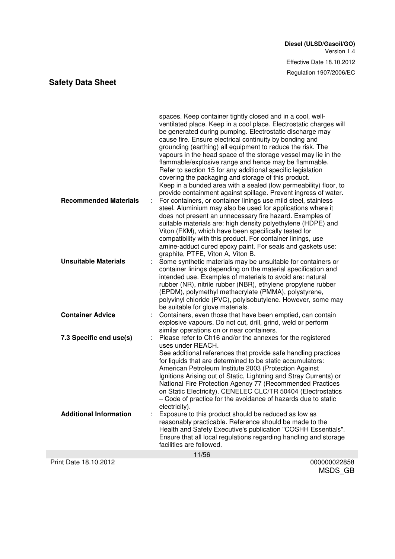| <b>Recommended Materials</b>  | ÷. | spaces. Keep container tightly closed and in a cool, well-<br>ventilated place. Keep in a cool place. Electrostatic charges will<br>be generated during pumping. Electrostatic discharge may<br>cause fire. Ensure electrical continuity by bonding and<br>grounding (earthing) all equipment to reduce the risk. The<br>vapours in the head space of the storage vessel may lie in the<br>flammable/explosive range and hence may be flammable.<br>Refer to section 15 for any additional specific legislation<br>covering the packaging and storage of this product.<br>Keep in a bunded area with a sealed (low permeability) floor, to<br>provide containment against spillage. Prevent ingress of water.<br>For containers, or container linings use mild steel, stainless<br>steel. Aluminium may also be used for applications where it<br>does not present an unnecessary fire hazard. Examples of |
|-------------------------------|----|------------------------------------------------------------------------------------------------------------------------------------------------------------------------------------------------------------------------------------------------------------------------------------------------------------------------------------------------------------------------------------------------------------------------------------------------------------------------------------------------------------------------------------------------------------------------------------------------------------------------------------------------------------------------------------------------------------------------------------------------------------------------------------------------------------------------------------------------------------------------------------------------------------|
|                               |    | suitable materials are: high density polyethylene (HDPE) and<br>Viton (FKM), which have been specifically tested for<br>compatibility with this product. For container linings, use<br>amine-adduct cured epoxy paint. For seals and gaskets use:<br>graphite, PTFE, Viton A, Viton B.                                                                                                                                                                                                                                                                                                                                                                                                                                                                                                                                                                                                                     |
| <b>Unsuitable Materials</b>   |    | Some synthetic materials may be unsuitable for containers or<br>container linings depending on the material specification and<br>intended use. Examples of materials to avoid are: natural<br>rubber (NR), nitrile rubber (NBR), ethylene propylene rubber<br>(EPDM), polymethyl methacrylate (PMMA), polystyrene,<br>polyvinyl chloride (PVC), polyisobutylene. However, some may<br>be suitable for glove materials.                                                                                                                                                                                                                                                                                                                                                                                                                                                                                     |
| <b>Container Advice</b>       |    | Containers, even those that have been emptied, can contain<br>explosive vapours. Do not cut, drill, grind, weld or perform<br>similar operations on or near containers.                                                                                                                                                                                                                                                                                                                                                                                                                                                                                                                                                                                                                                                                                                                                    |
| 7.3 Specific end use(s)       | ÷. | Please refer to Ch16 and/or the annexes for the registered<br>uses under REACH.<br>See additional references that provide safe handling practices<br>for liquids that are determined to be static accumulators:<br>American Petroleum Institute 2003 (Protection Against<br>Ignitions Arising out of Static, Lightning and Stray Currents) or<br>National Fire Protection Agency 77 (Recommended Practices<br>on Static Electricity). CENELEC CLC/TR 50404 (Electrostatics<br>- Code of practice for the avoidance of hazards due to static<br>electricity).                                                                                                                                                                                                                                                                                                                                               |
| <b>Additional Information</b> |    | Exposure to this product should be reduced as low as<br>reasonably practicable. Reference should be made to the<br>Health and Safety Executive's publication "COSHH Essentials".<br>Ensure that all local regulations regarding handling and storage<br>facilities are followed.                                                                                                                                                                                                                                                                                                                                                                                                                                                                                                                                                                                                                           |
|                               |    | 11/56                                                                                                                                                                                                                                                                                                                                                                                                                                                                                                                                                                                                                                                                                                                                                                                                                                                                                                      |
| Print Date 18.10.2012         |    | 000000022858                                                                                                                                                                                                                                                                                                                                                                                                                                                                                                                                                                                                                                                                                                                                                                                                                                                                                               |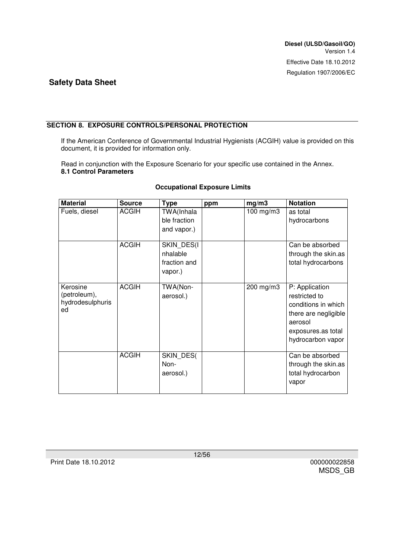#### **SECTION 8. EXPOSURE CONTROLS/PERSONAL PROTECTION**

If the American Conference of Governmental Industrial Hygienists (ACGIH) value is provided on this document, it is provided for information only.

Read in conjunction with the Exposure Scenario for your specific use contained in the Annex. **8.1 Control Parameters** 

| <b>Material</b>                                    | <b>Source</b> | <b>Type</b>                                       | ppm | mg/m3        | <b>Notation</b>                                                                                                                      |
|----------------------------------------------------|---------------|---------------------------------------------------|-----|--------------|--------------------------------------------------------------------------------------------------------------------------------------|
| Fuels, diesel                                      | <b>ACGIH</b>  | TWA(Inhala<br>ble fraction<br>and vapor.)         |     | 100 mg/m $3$ | as total<br>hydrocarbons                                                                                                             |
|                                                    | <b>ACGIH</b>  | SKIN DES(I<br>nhalable<br>fraction and<br>vapor.) |     |              | Can be absorbed<br>through the skin.as<br>total hydrocarbons                                                                         |
| Kerosine<br>(petroleum),<br>hydrodesulphuris<br>ed | <b>ACGIH</b>  | TWA(Non-<br>aerosol.)                             |     | 200 mg/m3    | P: Application<br>restricted to<br>conditions in which<br>there are negligible<br>aerosol<br>exposures.as total<br>hydrocarbon vapor |
|                                                    | <b>ACGIH</b>  | SKIN DES(<br>Non-<br>aerosol.)                    |     |              | Can be absorbed<br>through the skin.as<br>total hydrocarbon<br>vapor                                                                 |

#### **Occupational Exposure Limits**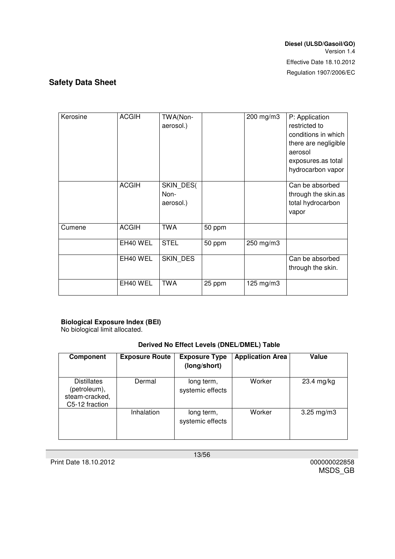| Kerosine | <b>ACGIH</b> | TWA(Non-<br>aerosol.)          |        | 200 mg/m3 | P: Application<br>restricted to<br>conditions in which<br>there are negligible<br>aerosol<br>exposures.as total<br>hydrocarbon vapor |
|----------|--------------|--------------------------------|--------|-----------|--------------------------------------------------------------------------------------------------------------------------------------|
|          | <b>ACGIH</b> | SKIN_DES(<br>Non-<br>aerosol.) |        |           | Can be absorbed<br>through the skin.as<br>total hydrocarbon<br>vapor                                                                 |
| Cumene   | <b>ACGIH</b> | <b>TWA</b>                     | 50 ppm |           |                                                                                                                                      |
|          | EH40 WEL     | <b>STEL</b>                    | 50 ppm | 250 mg/m3 |                                                                                                                                      |
|          | EH40 WEL     | SKIN DES                       |        |           | Can be absorbed<br>through the skin.                                                                                                 |
|          | EH40 WEL     | <b>TWA</b>                     | 25 ppm | 125 mg/m3 |                                                                                                                                      |

#### **Biological Exposure Index (BEI)**

No biological limit allocated.

#### **Derived No Effect Levels (DNEL/DMEL) Table**

| <b>Component</b>                                                       | <b>Exposure Route</b> | <b>Exposure Type</b><br>(long/short) | <b>Application Area</b> | Value                |
|------------------------------------------------------------------------|-----------------------|--------------------------------------|-------------------------|----------------------|
| <b>Distillates</b><br>(petroleum),<br>steam-cracked,<br>C5-12 fraction | Dermal                | long term,<br>systemic effects       | Worker                  | $23.4 \text{ mg/kg}$ |
|                                                                        | Inhalation            | long term,<br>systemic effects       | Worker                  | $3.25$ mg/m $3$      |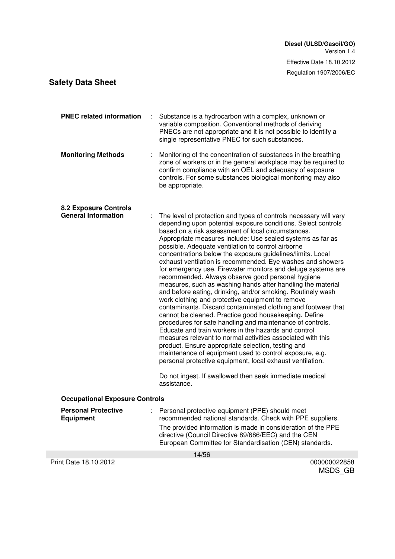| <b>PNEC related information</b>                            | Substance is a hydrocarbon with a complex, unknown or<br>variable composition. Conventional methods of deriving<br>PNECs are not appropriate and it is not possible to identify a<br>single representative PNEC for such substances.                                                                                                                                                                                                                                                                                                                                                                                                                                                                                                                                                                                                                                                                                                                                                                                                                                                                                                                                                                                                                                                                                  |              |
|------------------------------------------------------------|-----------------------------------------------------------------------------------------------------------------------------------------------------------------------------------------------------------------------------------------------------------------------------------------------------------------------------------------------------------------------------------------------------------------------------------------------------------------------------------------------------------------------------------------------------------------------------------------------------------------------------------------------------------------------------------------------------------------------------------------------------------------------------------------------------------------------------------------------------------------------------------------------------------------------------------------------------------------------------------------------------------------------------------------------------------------------------------------------------------------------------------------------------------------------------------------------------------------------------------------------------------------------------------------------------------------------|--------------|
| <b>Monitoring Methods</b>                                  | Monitoring of the concentration of substances in the breathing<br>zone of workers or in the general workplace may be required to<br>confirm compliance with an OEL and adequacy of exposure<br>controls. For some substances biological monitoring may also<br>be appropriate.                                                                                                                                                                                                                                                                                                                                                                                                                                                                                                                                                                                                                                                                                                                                                                                                                                                                                                                                                                                                                                        |              |
| <b>8.2 Exposure Controls</b><br><b>General Information</b> | The level of protection and types of controls necessary will vary<br>depending upon potential exposure conditions. Select controls<br>based on a risk assessment of local circumstances.<br>Appropriate measures include: Use sealed systems as far as<br>possible. Adequate ventilation to control airborne<br>concentrations below the exposure guidelines/limits. Local<br>exhaust ventilation is recommended. Eye washes and showers<br>for emergency use. Firewater monitors and deluge systems are<br>recommended. Always observe good personal hygiene<br>measures, such as washing hands after handling the material<br>and before eating, drinking, and/or smoking. Routinely wash<br>work clothing and protective equipment to remove<br>contaminants. Discard contaminated clothing and footwear that<br>cannot be cleaned. Practice good housekeeping. Define<br>procedures for safe handling and maintenance of controls.<br>Educate and train workers in the hazards and control<br>measures relevant to normal activities associated with this<br>product. Ensure appropriate selection, testing and<br>maintenance of equipment used to control exposure, e.g.<br>personal protective equipment, local exhaust ventilation.<br>Do not ingest. If swallowed then seek immediate medical<br>assistance. |              |
| <b>Occupational Exposure Controls</b>                      |                                                                                                                                                                                                                                                                                                                                                                                                                                                                                                                                                                                                                                                                                                                                                                                                                                                                                                                                                                                                                                                                                                                                                                                                                                                                                                                       |              |
| <b>Personal Protective</b><br><b>Equipment</b>             | Personal protective equipment (PPE) should meet<br>recommended national standards. Check with PPE suppliers.<br>The provided information is made in consideration of the PPE<br>directive (Council Directive 89/686/EEC) and the CEN<br>European Committee for Standardisation (CEN) standards.                                                                                                                                                                                                                                                                                                                                                                                                                                                                                                                                                                                                                                                                                                                                                                                                                                                                                                                                                                                                                       |              |
|                                                            | 14/56                                                                                                                                                                                                                                                                                                                                                                                                                                                                                                                                                                                                                                                                                                                                                                                                                                                                                                                                                                                                                                                                                                                                                                                                                                                                                                                 |              |
| Print Date 18.10.2012                                      |                                                                                                                                                                                                                                                                                                                                                                                                                                                                                                                                                                                                                                                                                                                                                                                                                                                                                                                                                                                                                                                                                                                                                                                                                                                                                                                       | 000000022858 |

MSDS\_GB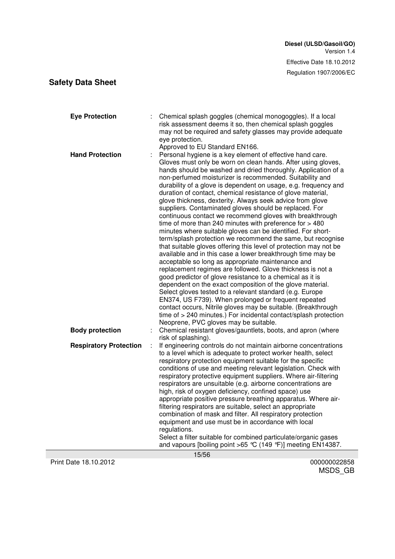| <b>Eye Protection</b>         |    | Chemical splash goggles (chemical monogoggles). If a local<br>risk assessment deems it so, then chemical splash goggles<br>may not be required and safety glasses may provide adequate                                                                                                                                                                                                                                                                                                                                                                                                                                                                                                                                                                                                                                                                                                                                                                                                                               |
|-------------------------------|----|----------------------------------------------------------------------------------------------------------------------------------------------------------------------------------------------------------------------------------------------------------------------------------------------------------------------------------------------------------------------------------------------------------------------------------------------------------------------------------------------------------------------------------------------------------------------------------------------------------------------------------------------------------------------------------------------------------------------------------------------------------------------------------------------------------------------------------------------------------------------------------------------------------------------------------------------------------------------------------------------------------------------|
| <b>Hand Protection</b>        |    | eye protection.<br>Approved to EU Standard EN166.<br>Personal hygiene is a key element of effective hand care.<br>Gloves must only be worn on clean hands. After using gloves,<br>hands should be washed and dried thoroughly. Application of a<br>non-perfumed moisturizer is recommended. Suitability and<br>durability of a glove is dependent on usage, e.g. frequency and<br>duration of contact, chemical resistance of glove material,<br>glove thickness, dexterity. Always seek advice from glove<br>suppliers. Contaminated gloves should be replaced. For<br>continuous contact we recommend gloves with breakthrough<br>time of more than 240 minutes with preference for $>$ 480<br>minutes where suitable gloves can be identified. For short-<br>term/splash protection we recommend the same, but recognise<br>that suitable gloves offering this level of protection may not be<br>available and in this case a lower breakthrough time may be<br>acceptable so long as appropriate maintenance and |
|                               |    | replacement regimes are followed. Glove thickness is not a<br>good predictor of glove resistance to a chemical as it is<br>dependent on the exact composition of the glove material.<br>Select gloves tested to a relevant standard (e.g. Europe                                                                                                                                                                                                                                                                                                                                                                                                                                                                                                                                                                                                                                                                                                                                                                     |
|                               |    | EN374, US F739). When prolonged or frequent repeated<br>contact occurs, Nitrile gloves may be suitable. (Breakthrough<br>time of > 240 minutes.) For incidental contact/splash protection<br>Neoprene, PVC gloves may be suitable.                                                                                                                                                                                                                                                                                                                                                                                                                                                                                                                                                                                                                                                                                                                                                                                   |
| <b>Body protection</b>        |    | Chemical resistant gloves/gauntlets, boots, and apron (where                                                                                                                                                                                                                                                                                                                                                                                                                                                                                                                                                                                                                                                                                                                                                                                                                                                                                                                                                         |
| <b>Respiratory Protection</b> | ÷. | risk of splashing).<br>If engineering controls do not maintain airborne concentrations<br>to a level which is adequate to protect worker health, select<br>respiratory protection equipment suitable for the specific<br>conditions of use and meeting relevant legislation. Check with<br>respiratory protective equipment suppliers. Where air-filtering<br>respirators are unsuitable (e.g. airborne concentrations are<br>high, risk of oxygen deficiency, confined space) use<br>appropriate positive pressure breathing apparatus. Where air-<br>filtering respirators are suitable, select an appropriate<br>combination of mask and filter. All respiratory protection<br>equipment and use must be in accordance with local<br>regulations.<br>Select a filter suitable for combined particulate/organic gases<br>and vapours [boiling point >65 °C (149 °F)] meeting EN14387.                                                                                                                              |
|                               |    | 15/56                                                                                                                                                                                                                                                                                                                                                                                                                                                                                                                                                                                                                                                                                                                                                                                                                                                                                                                                                                                                                |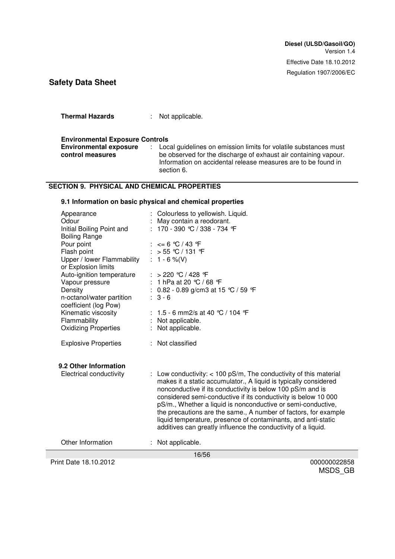**Thermal Hazards** : Not applicable.

**Environmental Exposure Controls Environmental exposure control measures**  : Local guidelines on emission limits for volatile substances must be observed for the discharge of exhaust air containing vapour. Information on accidental release measures are to be found in section 6.

### **SECTION 9. PHYSICAL AND CHEMICAL PROPERTIES**

#### **9.1 Information on basic physical and chemical properties**

| Appearance                                        | Colourless to yellowish. Liquid.                                    |  |
|---------------------------------------------------|---------------------------------------------------------------------|--|
| Odour                                             | May contain a reodorant.                                            |  |
| Initial Boiling Point and                         | 170 - 390 ℃ / 338 - 734 ℉                                           |  |
| <b>Boiling Range</b>                              |                                                                     |  |
| Pour point                                        | : $\leq 6 \degree C / 43 \degree F$                                 |  |
| Flash point                                       | > 55 ℃ / 131 °F                                                     |  |
| Upper / lower Flammability<br>or Explosion limits | : $1 - 6 \%$ (V)                                                    |  |
| Auto-ignition temperature                         | : > 220 ℃ / 428 °F                                                  |  |
| Vapour pressure                                   | : 1 hPa at 20 $\degree$ C / 68 $\degree$ F                          |  |
| Density                                           | : 0.82 - 0.89 g/cm3 at 15 ℃ / 59 °F                                 |  |
| n-octanol/water partition                         | $: 3 - 6$                                                           |  |
| coefficient (log Pow)                             |                                                                     |  |
| Kinematic viscosity                               | : 1.5 - 6 mm2/s at 40 ℃ / 104 F                                     |  |
| Flammability                                      |                                                                     |  |
|                                                   | Not applicable.                                                     |  |
| <b>Oxidizing Properties</b>                       | : Not applicable.                                                   |  |
| <b>Explosive Properties</b>                       | : Not classified                                                    |  |
| 9.2 Other Information                             |                                                                     |  |
| Electrical conductivity                           | : Low conductivity: $<$ 100 pS/m, The conductivity of this material |  |
|                                                   | makes it a static accumulator., A liquid is typically considered    |  |
|                                                   | nonconductive if its conductivity is below 100 pS/m and is          |  |
|                                                   | considered semi-conductive if its conductivity is below 10 000      |  |
|                                                   | pS/m., Whether a liquid is nonconductive or semi-conductive,        |  |
|                                                   | the precautions are the same., A number of factors, for example     |  |
|                                                   | liquid temperature, presence of contaminants, and anti-static       |  |
|                                                   | additives can greatly influence the conductivity of a liquid.       |  |
|                                                   |                                                                     |  |
| Other Information                                 | : Not applicable.                                                   |  |
|                                                   | 16/56                                                               |  |
| Print Date 18.10.2012                             | 000000022858                                                        |  |
|                                                   | MSDS GB                                                             |  |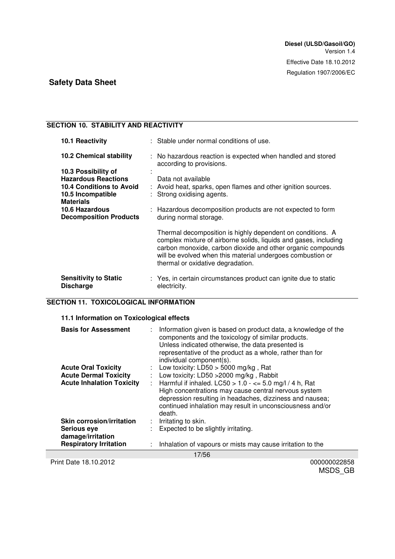#### **SECTION 10. STABILITY AND REACTIVITY**

| 10.1 Reactivity                                                                                                                                                                  | : Stable under normal conditions of use.                                                                                                                                                                                                                                                         |
|----------------------------------------------------------------------------------------------------------------------------------------------------------------------------------|--------------------------------------------------------------------------------------------------------------------------------------------------------------------------------------------------------------------------------------------------------------------------------------------------|
| <b>10.2 Chemical stability</b>                                                                                                                                                   | : No hazardous reaction is expected when handled and stored<br>according to provisions.                                                                                                                                                                                                          |
| 10.3 Possibility of<br><b>Hazardous Reactions</b><br><b>10.4 Conditions to Avoid</b><br>10.5 Incompatible<br><b>Materials</b><br>10.6 Hazardous<br><b>Decomposition Products</b> | Data not available<br>: Avoid heat, sparks, open flames and other ignition sources.<br>: Strong oxidising agents.<br>: Hazardous decomposition products are not expected to form<br>during normal storage.                                                                                       |
|                                                                                                                                                                                  | Thermal decomposition is highly dependent on conditions. A<br>complex mixture of airborne solids, liquids and gases, including<br>carbon monoxide, carbon dioxide and other organic compounds<br>will be evolved when this material undergoes combustion or<br>thermal or oxidative degradation. |
| <b>Sensitivity to Static</b><br><b>Discharge</b>                                                                                                                                 | : Yes, in certain circumstances product can ignite due to static<br>electricity.                                                                                                                                                                                                                 |

### **SECTION 11. TOXICOLOGICAL INFORMATION**

#### **11.1 Information on Toxicological effects**

| <b>Basis for Assessment</b><br><b>Acute Oral Toxicity</b><br><b>Acute Dermal Toxicity</b><br><b>Acute Inhalation Toxicity</b> | ÷.<br>÷.<br>$\mathbb{R}^{\mathbb{Z}}$ | Information given is based on product data, a knowledge of the<br>components and the toxicology of similar products.<br>Unless indicated otherwise, the data presented is<br>representative of the product as a whole, rather than for<br>individual component(s).<br>: Low toxicity: $LD50 > 5000$ mg/kg, Rat<br>Low toxicity: LD50 > 2000 mg/kg, Rabbit<br>Harmful if inhaled. LC50 > $1.0 - \le 5.0$ mg/l / 4 h, Rat<br>High concentrations may cause central nervous system<br>depression resulting in headaches, dizziness and nausea;<br>continued inhalation may result in unconsciousness and/or<br>death. |
|-------------------------------------------------------------------------------------------------------------------------------|---------------------------------------|--------------------------------------------------------------------------------------------------------------------------------------------------------------------------------------------------------------------------------------------------------------------------------------------------------------------------------------------------------------------------------------------------------------------------------------------------------------------------------------------------------------------------------------------------------------------------------------------------------------------|
| <b>Skin corrosion/irritation</b>                                                                                              | ÷.                                    | Irritating to skin.                                                                                                                                                                                                                                                                                                                                                                                                                                                                                                                                                                                                |
| <b>Serious eye</b><br>damage/irritation                                                                                       |                                       | Expected to be slightly irritating.                                                                                                                                                                                                                                                                                                                                                                                                                                                                                                                                                                                |
| <b>Respiratory Irritation</b>                                                                                                 | t.                                    | Inhalation of vapours or mists may cause irritation to the                                                                                                                                                                                                                                                                                                                                                                                                                                                                                                                                                         |
| 17/56                                                                                                                         |                                       |                                                                                                                                                                                                                                                                                                                                                                                                                                                                                                                                                                                                                    |

Print Date 18.10.2012 000000022858

MSDS\_GB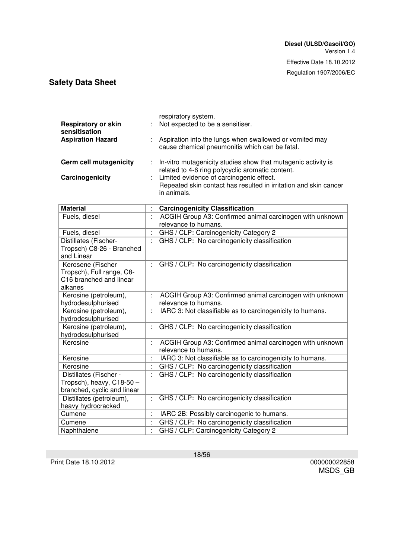| <b>Respiratory or skin</b><br>sensitisation |    | respiratory system.<br>Not expected to be a sensitiser.                                                                     |
|---------------------------------------------|----|-----------------------------------------------------------------------------------------------------------------------------|
| <b>Aspiration Hazard</b>                    |    | Aspiration into the lungs when swallowed or vomited may<br>cause chemical pneumonitis which can be fatal.                   |
| <b>Germ cell mutagenicity</b>               | ÷. | In-vitro mutagenicity studies show that mutagenic activity is<br>related to 4-6 ring polycyclic aromatic content.           |
| Carcinogenicity                             |    | Limited evidence of carcinogenic effect.<br>Repeated skin contact has resulted in irritation and skin cancer<br>in animals. |

| <b>Material</b>                             |    | <b>Carcinogenicity Classification</b>                                            |
|---------------------------------------------|----|----------------------------------------------------------------------------------|
| Fuels, diesel                               | ł. | ACGIH Group A3: Confirmed animal carcinogen with unknown                         |
|                                             |    | relevance to humans.                                                             |
| Fuels, diesel                               | ÷. | GHS / CLP: Carcinogenicity Category 2                                            |
| Distillates (Fischer-                       | ÷. | GHS / CLP: No carcinogenicity classification                                     |
| Tropsch) C8-26 - Branched                   |    |                                                                                  |
| and Linear                                  |    |                                                                                  |
| Kerosene (Fischer                           | t. | GHS / CLP: No carcinogenicity classification                                     |
| Tropsch), Full range, C8-                   |    |                                                                                  |
| C16 branched and linear                     |    |                                                                                  |
| alkanes                                     |    |                                                                                  |
| Kerosine (petroleum),                       |    | ACGIH Group A3: Confirmed animal carcinogen with unknown<br>relevance to humans. |
| hydrodesulphurised                          |    |                                                                                  |
| Kerosine (petroleum),<br>hydrodesulphurised | ÷  | IARC 3: Not classifiable as to carcinogenicity to humans.                        |
| Kerosine (petroleum),                       | t. | GHS / CLP: No carcinogenicity classification                                     |
| hydrodesulphurised                          |    |                                                                                  |
| Kerosine                                    | ÷  | ACGIH Group A3: Confirmed animal carcinogen with unknown                         |
|                                             |    | relevance to humans.                                                             |
| Kerosine                                    | ÷  | IARC 3: Not classifiable as to carcinogenicity to humans.                        |
| Kerosine                                    |    | GHS / CLP: No carcinogenicity classification                                     |
| Distillates (Fischer -                      |    | GHS / CLP: No carcinogenicity classification                                     |
| Tropsch), heavy, C18-50 -                   |    |                                                                                  |
| branched, cyclic and linear                 |    |                                                                                  |
| Distillates (petroleum),                    | t. | GHS / CLP: No carcinogenicity classification                                     |
| heavy hydrocracked                          |    |                                                                                  |
| Cumene                                      | t. | IARC 2B: Possibly carcinogenic to humans.                                        |
| Cumene                                      |    | GHS / CLP: No carcinogenicity classification                                     |
| Naphthalene                                 |    | GHS / CLP: Carcinogenicity Category 2                                            |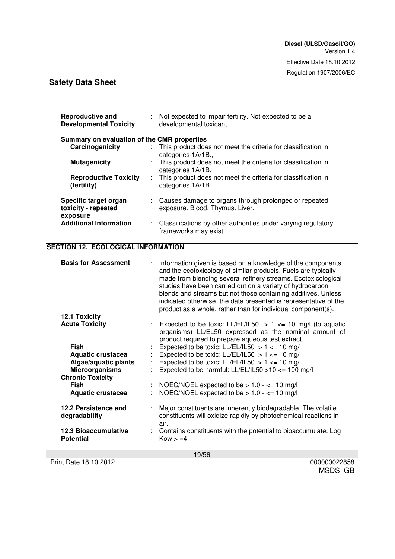| <b>Reproductive and</b><br><b>Developmental Toxicity</b> | : Not expected to impair fertility. Not expected to be a<br>developmental toxicant.        |
|----------------------------------------------------------|--------------------------------------------------------------------------------------------|
| Summary on evaluation of the CMR properties              |                                                                                            |
| Carcinogenicity                                          | : This product does not meet the criteria for classification in<br>categories 1A/1B.,      |
| <b>Mutagenicity</b>                                      | : This product does not meet the criteria for classification in<br>categories 1A/1B.       |
| <b>Reproductive Toxicity</b><br>(fertility)              | : This product does not meet the criteria for classification in<br>categories 1A/1B.       |
| Specific target organ<br>toxicity - repeated<br>exposure | : Causes damage to organs through prolonged or repeated<br>exposure. Blood. Thymus. Liver. |
| <b>Additional Information</b>                            | : Classifications by other authorities under varying regulatory<br>frameworks may exist.   |

#### **SECTION 12. ECOLOGICAL INFORMATION**

| <b>Basis for Assessment</b>                     |   | Information given is based on a knowledge of the components<br>and the ecotoxicology of similar products. Fuels are typically<br>made from blending several refinery streams. Ecotoxicological<br>studies have been carried out on a variety of hydrocarbon<br>blends and streams but not those containing additives. Unless<br>indicated otherwise, the data presented is representative of the<br>product as a whole, rather than for individual component(s). |
|-------------------------------------------------|---|------------------------------------------------------------------------------------------------------------------------------------------------------------------------------------------------------------------------------------------------------------------------------------------------------------------------------------------------------------------------------------------------------------------------------------------------------------------|
| <b>12.1 Toxicity</b>                            |   |                                                                                                                                                                                                                                                                                                                                                                                                                                                                  |
| <b>Acute Toxicity</b>                           |   | Expected to be toxic: LL/EL/IL50 $> 1$ <= 10 mg/l (to aquatic<br>organisms) LL/EL50 expressed as the nominal amount of<br>product required to prepare aqueous test extract.                                                                                                                                                                                                                                                                                      |
| <b>Fish</b>                                     |   | Expected to be toxic: LL/EL/IL50 $> 1$ <= 10 mg/l                                                                                                                                                                                                                                                                                                                                                                                                                |
| <b>Aquatic crustacea</b>                        |   | Expected to be toxic: LL/EL/IL50 $> 1$ <= 10 mg/l                                                                                                                                                                                                                                                                                                                                                                                                                |
| Algae/aquatic plants                            | ÷ | Expected to be toxic: LL/EL/IL50 $> 1$ <= 10 mg/l                                                                                                                                                                                                                                                                                                                                                                                                                |
| <b>Microorganisms</b>                           |   | Expected to be harmful: LL/EL/IL50 > 10 $\le$ 100 mg/l                                                                                                                                                                                                                                                                                                                                                                                                           |
| <b>Chronic Toxicity</b>                         |   |                                                                                                                                                                                                                                                                                                                                                                                                                                                                  |
| <b>Fish</b>                                     | ÷ | NOEC/NOEL expected to be $> 1.0 - \le 10$ mg/l                                                                                                                                                                                                                                                                                                                                                                                                                   |
| <b>Aquatic crustacea</b>                        |   | NOEC/NOEL expected to be $> 1.0 - \le 10$ mg/l                                                                                                                                                                                                                                                                                                                                                                                                                   |
| 12.2 Persistence and<br>degradability           |   | Major constituents are inherently biodegradable. The volatile<br>constituents will oxidize rapidly by photochemical reactions in<br>air.                                                                                                                                                                                                                                                                                                                         |
| <b>12.3 Bioaccumulative</b><br><b>Potential</b> |   | Contains constituents with the potential to bioaccumulate. Log<br>$Kow > = 4$                                                                                                                                                                                                                                                                                                                                                                                    |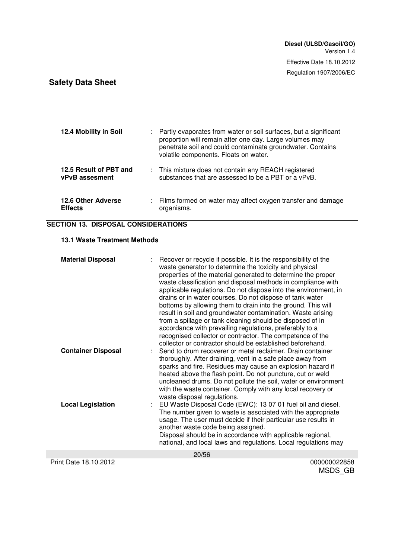| 12.4 Mobility in Soil                           | : Partly evaporates from water or soil surfaces, but a significant<br>proportion will remain after one day. Large volumes may<br>penetrate soil and could contaminate groundwater. Contains<br>volatile components. Floats on water. |
|-------------------------------------------------|--------------------------------------------------------------------------------------------------------------------------------------------------------------------------------------------------------------------------------------|
| 12.5 Result of PBT and<br><b>vPvB</b> assesment | : This mixture does not contain any REACH registered<br>substances that are assessed to be a PBT or a vPvB.                                                                                                                          |
| <b>12.6 Other Adverse</b><br><b>Effects</b>     | : Films formed on water may affect oxygen transfer and damage<br>organisms.                                                                                                                                                          |

#### **SECTION 13. DISPOSAL CONSIDERATIONS**

#### **13.1 Waste Treatment Methods**

| <b>Material Disposal</b>  | Recover or recycle if possible. It is the responsibility of the<br>waste generator to determine the toxicity and physical<br>properties of the material generated to determine the proper<br>waste classification and disposal methods in compliance with<br>applicable regulations. Do not dispose into the environment, in<br>drains or in water courses. Do not dispose of tank water<br>bottoms by allowing them to drain into the ground. This will<br>result in soil and groundwater contamination. Waste arising<br>from a spillage or tank cleaning should be disposed of in |
|---------------------------|--------------------------------------------------------------------------------------------------------------------------------------------------------------------------------------------------------------------------------------------------------------------------------------------------------------------------------------------------------------------------------------------------------------------------------------------------------------------------------------------------------------------------------------------------------------------------------------|
| <b>Container Disposal</b> | accordance with prevailing regulations, preferably to a<br>recognised collector or contractor. The competence of the<br>collector or contractor should be established beforehand.<br>Send to drum recoverer or metal reclaimer. Drain container<br>thoroughly. After draining, vent in a safe place away from                                                                                                                                                                                                                                                                        |
|                           | sparks and fire. Residues may cause an explosion hazard if<br>heated above the flash point. Do not puncture, cut or weld<br>uncleaned drums. Do not pollute the soil, water or environment<br>with the waste container. Comply with any local recovery or<br>waste disposal regulations.                                                                                                                                                                                                                                                                                             |
| <b>Local Legislation</b>  | EU Waste Disposal Code (EWC): 13 07 01 fuel oil and diesel.<br>The number given to waste is associated with the appropriate<br>usage. The user must decide if their particular use results in<br>another waste code being assigned.<br>Disposal should be in accordance with applicable regional,<br>national, and local laws and regulations. Local regulations may                                                                                                                                                                                                                 |
|                           | 20/56                                                                                                                                                                                                                                                                                                                                                                                                                                                                                                                                                                                |
| Print Date 18.10.2012     | 000000022858                                                                                                                                                                                                                                                                                                                                                                                                                                                                                                                                                                         |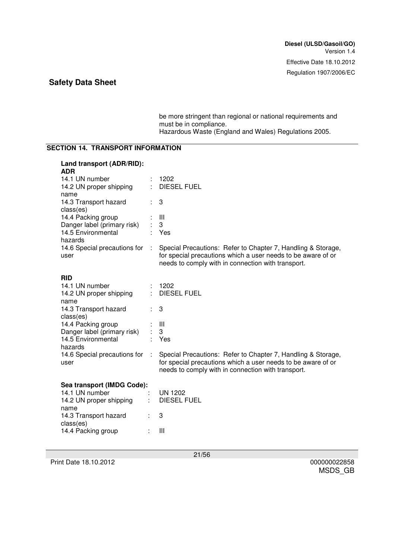be more stringent than regional or national requirements and must be in compliance. Hazardous Waste (England and Wales) Regulations 2005.

#### **SECTION 14. TRANSPORT INFORMATION**

| Land transport (ADR/RID):            |           |                                                                                                                                                                                    |
|--------------------------------------|-----------|------------------------------------------------------------------------------------------------------------------------------------------------------------------------------------|
| <b>ADR</b><br>14.1 UN number         |           | : 1202                                                                                                                                                                             |
| 14.2 UN proper shipping              | ÷.        | <b>DIESEL FUEL</b>                                                                                                                                                                 |
| name                                 |           |                                                                                                                                                                                    |
| 14.3 Transport hazard                |           | 3                                                                                                                                                                                  |
| class(es)                            |           |                                                                                                                                                                                    |
| 14.4 Packing group                   |           | $\mathbf{III}$                                                                                                                                                                     |
| Danger label (primary risk)          |           | 3                                                                                                                                                                                  |
| 14.5 Environmental                   |           | Yes                                                                                                                                                                                |
| hazards                              |           |                                                                                                                                                                                    |
| 14.6 Special precautions for<br>user | $\sim 10$ | Special Precautions: Refer to Chapter 7, Handling & Storage,<br>for special precautions which a user needs to be aware of or<br>needs to comply with in connection with transport. |
|                                      |           |                                                                                                                                                                                    |
| <b>RID</b><br>14.1 UN number         |           | 1202                                                                                                                                                                               |
| 14.2 UN proper shipping              | ÷         | <b>DIESEL FUEL</b>                                                                                                                                                                 |
| name                                 |           |                                                                                                                                                                                    |
| 14.3 Transport hazard                |           | 3                                                                                                                                                                                  |
| class(es)                            |           |                                                                                                                                                                                    |
| 14.4 Packing group                   |           | $\mathbf{III}$                                                                                                                                                                     |
| Danger label (primary risk)          |           | 3                                                                                                                                                                                  |
| 14.5 Environmental                   |           | Yes                                                                                                                                                                                |
| hazards                              |           |                                                                                                                                                                                    |
| 14.6 Special precautions for<br>user | ÷         | Special Precautions: Refer to Chapter 7, Handling & Storage,<br>for special precautions which a user needs to be aware of or<br>needs to comply with in connection with transport. |
| Sea transport (IMDG Code):           |           |                                                                                                                                                                                    |
| 14.1 UN number                       |           | <b>UN 1202</b>                                                                                                                                                                     |
| 14.2 UN proper shipping              |           | <b>DIESEL FUEL</b>                                                                                                                                                                 |
| name                                 |           |                                                                                                                                                                                    |
| 14.3 Transport hazard                |           | 3                                                                                                                                                                                  |
| class(es)                            |           |                                                                                                                                                                                    |
| 14.4 Packing group                   |           | Ш                                                                                                                                                                                  |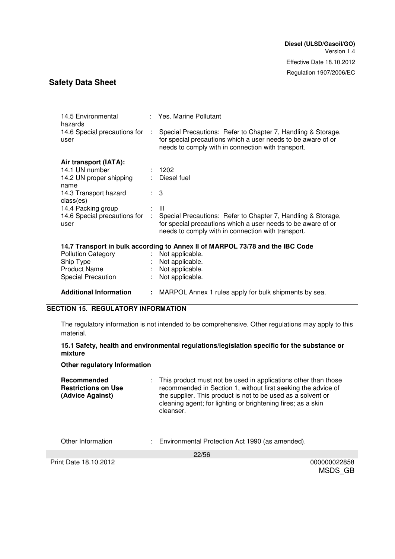| 14.5 Environmental<br>hazards                                                 |                       | : Yes. Marine Pollutant                                                                                                                                                            |  |
|-------------------------------------------------------------------------------|-----------------------|------------------------------------------------------------------------------------------------------------------------------------------------------------------------------------|--|
| 14.6 Special precautions for<br>user                                          | ÷.                    | Special Precautions: Refer to Chapter 7, Handling & Storage,<br>for special precautions which a user needs to be aware of or<br>needs to comply with in connection with transport. |  |
| Air transport (IATA):                                                         |                       |                                                                                                                                                                                    |  |
| 14.1 UN number                                                                |                       | : 1202                                                                                                                                                                             |  |
| 14.2 UN proper shipping<br>name                                               |                       | : Diesel fuel                                                                                                                                                                      |  |
| 14.3 Transport hazard<br>class(es)                                            | $\therefore$ 3        |                                                                                                                                                                                    |  |
| 14.4 Packing group                                                            |                       | : III                                                                                                                                                                              |  |
| 14.6 Special precautions for<br>user                                          | ÷.                    | Special Precautions: Refer to Chapter 7, Handling & Storage,<br>for special precautions which a user needs to be aware of or<br>needs to comply with in connection with transport. |  |
| 14.7 Transport in bulk according to Annex II of MARPOL 73/78 and the IBC Code |                       |                                                                                                                                                                                    |  |
| <b>Pollution Category</b>                                                     |                       | Not applicable.                                                                                                                                                                    |  |
| Ship Type                                                                     |                       | Not applicable.                                                                                                                                                                    |  |
| <b>Product Name</b>                                                           | $\mathbb{N}^{\times}$ | Not applicable.                                                                                                                                                                    |  |
| Special Precaution                                                            |                       | Not applicable.                                                                                                                                                                    |  |
| <b>Additional Information</b>                                                 |                       | MARPOL Annex 1 rules apply for bulk shipments by sea.                                                                                                                              |  |

#### **SECTION 15. REGULATORY INFORMATION**

The regulatory information is not intended to be comprehensive. Other regulations may apply to this material.

#### **15.1 Safety, health and environmental regulations/legislation specific for the substance or mixture**

#### **Other regulatory Information**

| Recommended<br><b>Restrictions on Use</b><br>(Advice Against) | : This product must not be used in applications other than those<br>recommended in Section 1, without first seeking the advice of<br>the supplier. This product is not to be used as a solvent or<br>cleaning agent; for lighting or brightening fires; as a skin<br>cleanser. |
|---------------------------------------------------------------|--------------------------------------------------------------------------------------------------------------------------------------------------------------------------------------------------------------------------------------------------------------------------------|
|                                                               |                                                                                                                                                                                                                                                                                |

Other Information : Environmental Protection Act 1990 (as amended).

Print Date 18.10.2012 000000022858

22/56

MSDS\_GB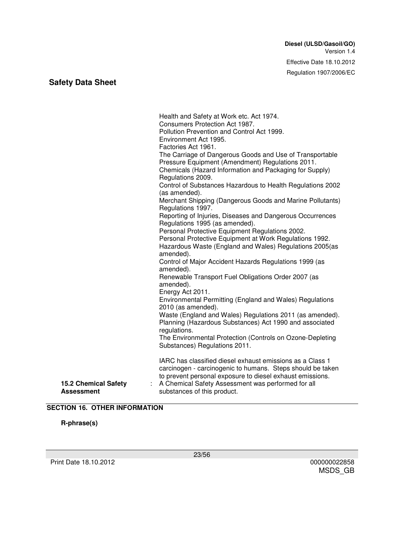Regulation 1907/2006/EC

# **Safety Data Sheet**

|                                                  | Health and Safety at Work etc. Act 1974.<br>Consumers Protection Act 1987.<br>Pollution Prevention and Control Act 1999.<br>Environment Act 1995.<br>Factories Act 1961.<br>The Carriage of Dangerous Goods and Use of Transportable<br>Pressure Equipment (Amendment) Regulations 2011.<br>Chemicals (Hazard Information and Packaging for Supply)<br>Regulations 2009.<br>Control of Substances Hazardous to Health Regulations 2002<br>(as amended).<br>Merchant Shipping (Dangerous Goods and Marine Pollutants)<br>Regulations 1997.<br>Reporting of Injuries, Diseases and Dangerous Occurrences<br>Regulations 1995 (as amended).<br>Personal Protective Equipment Regulations 2002.<br>Personal Protective Equipment at Work Regulations 1992.<br>Hazardous Waste (England and Wales) Regulations 2005(as<br>amended).<br>Control of Major Accident Hazards Regulations 1999 (as<br>amended).<br>Renewable Transport Fuel Obligations Order 2007 (as<br>amended).<br>Energy Act 2011.<br>Environmental Permitting (England and Wales) Regulations<br>2010 (as amended).<br>Waste (England and Wales) Regulations 2011 (as amended).<br>Planning (Hazardous Substances) Act 1990 and associated<br>regulations.<br>The Environmental Protection (Controls on Ozone-Depleting<br>Substances) Regulations 2011. |
|--------------------------------------------------|----------------------------------------------------------------------------------------------------------------------------------------------------------------------------------------------------------------------------------------------------------------------------------------------------------------------------------------------------------------------------------------------------------------------------------------------------------------------------------------------------------------------------------------------------------------------------------------------------------------------------------------------------------------------------------------------------------------------------------------------------------------------------------------------------------------------------------------------------------------------------------------------------------------------------------------------------------------------------------------------------------------------------------------------------------------------------------------------------------------------------------------------------------------------------------------------------------------------------------------------------------------------------------------------------------------------|
| <b>15.2 Chemical Safety</b><br><b>Assessment</b> | IARC has classified diesel exhaust emissions as a Class 1<br>carcinogen - carcinogenic to humans. Steps should be taken<br>to prevent personal exposure to diesel exhaust emissions.<br>A Chemical Safety Assessment was performed for all<br>substances of this product.                                                                                                                                                                                                                                                                                                                                                                                                                                                                                                                                                                                                                                                                                                                                                                                                                                                                                                                                                                                                                                            |

#### **SECTION 16. OTHER INFORMATION**

**R-phrase(s)**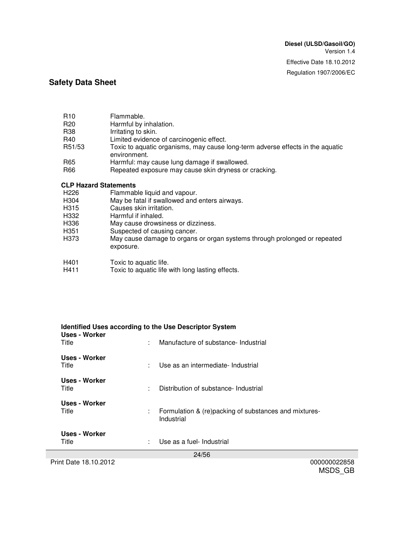Regulation 1907/2006/EC

#### **Safety Data Sheet**

| R <sub>10</sub>              | Flammable.                                                                                     |
|------------------------------|------------------------------------------------------------------------------------------------|
| R <sub>20</sub>              | Harmful by inhalation.                                                                         |
| R <sub>38</sub>              | Irritating to skin.                                                                            |
| R40                          | Limited evidence of carcinogenic effect.                                                       |
| R51/53                       | Toxic to aquatic organisms, may cause long-term adverse effects in the aquatic<br>environment. |
| R65                          | Harmful: may cause lung damage if swallowed.                                                   |
| R66                          | Repeated exposure may cause skin dryness or cracking.                                          |
| <b>CLP Hazard Statements</b> |                                                                                                |

- H226 Flammable liquid and vapour.<br>H304 May be fatal if swallowed and
- H304 May be fatal if swallowed and enters airways.<br>H315 Causes skin irritation.
- Causes skin irritation.
- Harmful if inhaled.<br>
H336 May cause drowsin
- May cause drowsiness or dizziness.
- H351 Suspected of causing cancer.
- H373 May cause damage to organs or organ systems through prolonged or repeated exposure.
- H401 Toxic to aquatic life.
- H411 Toxic to aquatic life with long lasting effects.

| Identified Uses according to the Use Descriptor System<br>Uses - Worker |   |                                                                     |
|-------------------------------------------------------------------------|---|---------------------------------------------------------------------|
| Title                                                                   | ÷ | Manufacture of substance- Industrial                                |
| Uses - Worker<br>Title                                                  | ÷ | Use as an intermediate- Industrial                                  |
| Uses - Worker<br>Title                                                  | ٠ | Distribution of substance- Industrial                               |
| Uses - Worker<br>Title                                                  | ÷ | Formulation & (re)packing of substances and mixtures-<br>Industrial |
| Uses - Worker<br>Title<br>Use as a fuel- Industrial<br>٠                |   |                                                                     |
| 24/56                                                                   |   |                                                                     |

Print Date 18.10.2012 000000022858

24/56

MSDS\_GB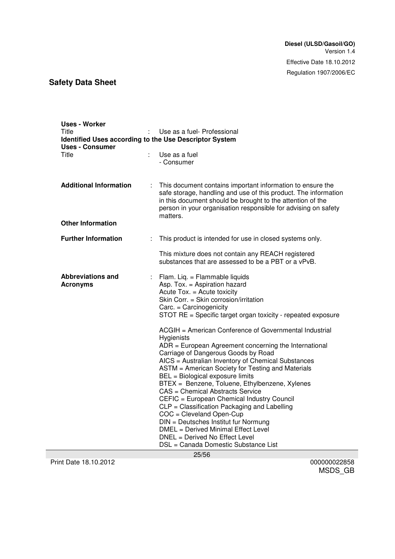| <b>Uses - Worker</b><br>Title<br>Identified Uses according to the Use Descriptor System<br>Uses - Consumer |   | Use as a fuel- Professional                                                                                                                                                                                                                                                                                                                                                                                                                                                                                                                                                                                                                            |
|------------------------------------------------------------------------------------------------------------|---|--------------------------------------------------------------------------------------------------------------------------------------------------------------------------------------------------------------------------------------------------------------------------------------------------------------------------------------------------------------------------------------------------------------------------------------------------------------------------------------------------------------------------------------------------------------------------------------------------------------------------------------------------------|
| Title                                                                                                      |   | Use as a fuel<br>- Consumer                                                                                                                                                                                                                                                                                                                                                                                                                                                                                                                                                                                                                            |
| <b>Additional Information</b>                                                                              |   | This document contains important information to ensure the<br>safe storage, handling and use of this product. The information<br>in this document should be brought to the attention of the<br>person in your organisation responsible for advising on safety<br>matters.                                                                                                                                                                                                                                                                                                                                                                              |
| <b>Other Information</b>                                                                                   |   |                                                                                                                                                                                                                                                                                                                                                                                                                                                                                                                                                                                                                                                        |
| <b>Further Information</b>                                                                                 | ÷ | This product is intended for use in closed systems only.                                                                                                                                                                                                                                                                                                                                                                                                                                                                                                                                                                                               |
|                                                                                                            |   | This mixture does not contain any REACH registered<br>substances that are assessed to be a PBT or a vPvB.                                                                                                                                                                                                                                                                                                                                                                                                                                                                                                                                              |
| <b>Abbreviations and</b><br><b>Acronyms</b>                                                                |   | Flam. Liq. = Flammable liquids<br>Asp. Tox. = Aspiration hazard<br>Acute Tox. = Acute toxicity<br>Skin Corr. = Skin corrosion/irritation<br>$Carc = Carcinogeneity$<br>STOT RE = Specific target organ toxicity - repeated exposure                                                                                                                                                                                                                                                                                                                                                                                                                    |
|                                                                                                            |   | ACGIH = American Conference of Governmental Industrial<br>Hygienists<br>$ADR = European Agreement concerning the International$<br>Carriage of Dangerous Goods by Road<br>AICS = Australian Inventory of Chemical Substances<br>ASTM = American Society for Testing and Materials<br>BEL = Biological exposure limits<br>BTEX = Benzene, Toluene, Ethylbenzene, Xylenes<br>CAS = Chemical Abstracts Service<br>CEFIC = European Chemical Industry Council<br>CLP = Classification Packaging and Labelling<br>COC = Cleveland Open-Cup<br>DIN = Deutsches Institut fur Normung<br>DMEL = Derived Minimal Effect Level<br>DNEL = Derived No Effect Level |
|                                                                                                            |   | DSL = Canada Domestic Substance List                                                                                                                                                                                                                                                                                                                                                                                                                                                                                                                                                                                                                   |
|                                                                                                            |   | 25/56                                                                                                                                                                                                                                                                                                                                                                                                                                                                                                                                                                                                                                                  |

Print Date 18.10.2012 000000022858

MSDS\_GB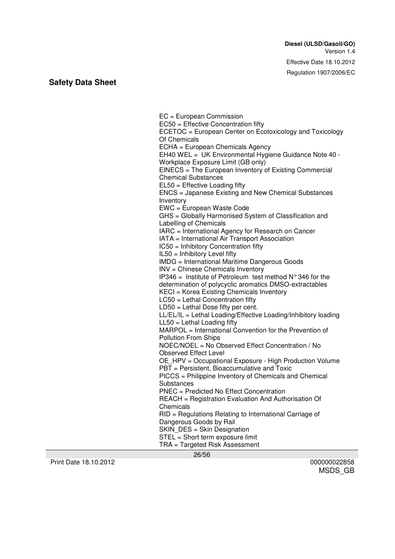#### Regulation 1907/2006/EC

#### **Safety Data Sheet**

EC = European Commission EC50 = Effective Concentration fifty ECETOC = European Center on Ecotoxicology and Toxicology Of Chemicals ECHA = European Chemicals Agency EH40 WEL = UK Environmental Hygiene Guidance Note 40 - Workplace Exposure Limit (GB only) EINECS = The European Inventory of Existing Commercial Chemical Substances EL50 = Effective Loading fifty ENCS = Japanese Existing and New Chemical Substances Inventory EWC = European Waste Code GHS = Globally Harmonised System of Classification and Labelling of Chemicals IARC = International Agency for Research on Cancer IATA = International Air Transport Association IC50 = Inhibitory Concentration fifty IL50 = Inhibitory Level fifty IMDG = International Maritime Dangerous Goods INV = Chinese Chemicals Inventory IP346 = Institute of Petroleum test method  $N^{\circ}$ 346 for the determination of polycyclic aromatics DMSO-extractables KECI = Korea Existing Chemicals Inventory LC50 = Lethal Concentration fifty LD50 = Lethal Dose fifty per cent. LL/EL/IL = Lethal Loading/Effective Loading/Inhibitory loading LL50 = Lethal Loading fifty MARPOL = International Convention for the Prevention of Pollution From Ships NOEC/NOEL = No Observed Effect Concentration / No Observed Effect Level OE\_HPV = Occupational Exposure - High Production Volume PBT = Persistent, Bioaccumulative and Toxic PICCS = Philippine Inventory of Chemicals and Chemical Substances PNEC = Predicted No Effect Concentration REACH = Registration Evaluation And Authorisation Of Chemicals RID = Regulations Relating to International Carriage of Dangerous Goods by Rail SKIN DES = Skin Designation STEL = Short term exposure limit TRA = Targeted Risk Assessment

26/56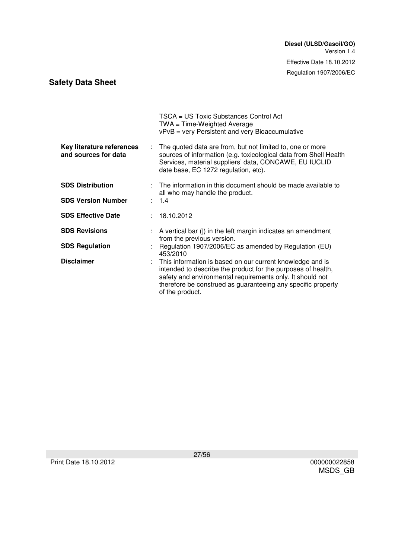|                                                   | TSCA = US Toxic Substances Control Act<br>$TWA = Time-Weighted Average$<br>vPvB = very Persistent and very Bioaccumulative                                                                                                                                                |
|---------------------------------------------------|---------------------------------------------------------------------------------------------------------------------------------------------------------------------------------------------------------------------------------------------------------------------------|
| Key literature references<br>and sources for data | The quoted data are from, but not limited to, one or more<br>sources of information (e.g. toxicological data from Shell Health<br>Services, material suppliers' data, CONCAWE, EU IUCLID<br>date base, EC 1272 regulation, etc).                                          |
| <b>SDS Distribution</b>                           | The information in this document should be made available to<br>all who may handle the product.                                                                                                                                                                           |
| <b>SDS Version Number</b>                         | 1.4                                                                                                                                                                                                                                                                       |
| <b>SDS Effective Date</b>                         | : 18.10.2012                                                                                                                                                                                                                                                              |
| <b>SDS Revisions</b>                              | $\therefore$ A vertical bar ( ) in the left margin indicates an amendment<br>from the previous version.                                                                                                                                                                   |
| <b>SDS Regulation</b>                             | Regulation 1907/2006/EC as amended by Regulation (EU)<br>453/2010                                                                                                                                                                                                         |
| <b>Disclaimer</b>                                 | This information is based on our current knowledge and is<br>intended to describe the product for the purposes of health,<br>safety and environmental requirements only. It should not<br>therefore be construed as guaranteeing any specific property<br>of the product. |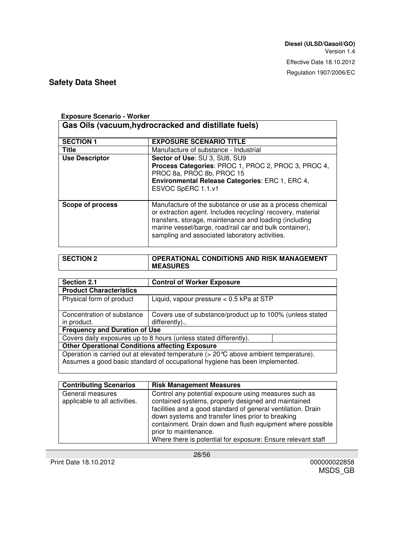# **Exposure Scenario - Worker**

| Gas Oils (vacuum, hydrocracked and distillate fuels) |                                                                                                                                                                                                                                                                                                |  |  |
|------------------------------------------------------|------------------------------------------------------------------------------------------------------------------------------------------------------------------------------------------------------------------------------------------------------------------------------------------------|--|--|
| <b>SECTION 1</b>                                     | <b>EXPOSURE SCENARIO TITLE</b>                                                                                                                                                                                                                                                                 |  |  |
| <b>Title</b>                                         | Manufacture of substance - Industrial                                                                                                                                                                                                                                                          |  |  |
| Use Descriptor                                       | Sector of Use: SU 3, SU8, SU9<br>Process Categories: PROC 1, PROC 2, PROC 3, PROC 4,<br>PROC 8a, PROC 8b, PROC 15<br><b>Environmental Release Categories: ERC 1, ERC 4,</b><br>ESVOC SpERC 1.1.v1                                                                                              |  |  |
| <b>Scope of process</b>                              | Manufacture of the substance or use as a process chemical<br>or extraction agent. Includes recycling/recovery, material<br>transfers, storage, maintenance and loading (including<br>marine vessel/barge, road/rail car and bulk container),<br>sampling and associated laboratory activities. |  |  |

| <b>SECTION 2</b> | OPERATIONAL CONDITIONS AND RISK MANAGEMENT |
|------------------|--------------------------------------------|
|                  | <b>MEASURES</b>                            |

| Section 2.1                                                                                  | <b>Control of Worker Exposure</b>                                           |  |  |
|----------------------------------------------------------------------------------------------|-----------------------------------------------------------------------------|--|--|
| <b>Product Characteristics</b>                                                               |                                                                             |  |  |
| Physical form of product                                                                     | Liquid, vapour pressure $< 0.5$ kPa at STP                                  |  |  |
| Concentration of substance<br>in product.                                                    | Covers use of substance/product up to 100% (unless stated<br>differently)., |  |  |
| <b>Frequency and Duration of Use</b>                                                         |                                                                             |  |  |
| Covers daily exposures up to 8 hours (unless stated differently).                            |                                                                             |  |  |
| <b>Other Operational Conditions affecting Exposure</b>                                       |                                                                             |  |  |
| Operation is carried out at elevated temperature $(>20\degree C$ above ambient temperature). |                                                                             |  |  |

Assumes a good basic standard of occupational hygiene has been implemented.

| <b>Contributing Scenarios</b>                     | <b>Risk Management Measures</b>                                                                                                                                                                                                                                                                                                                                                          |
|---------------------------------------------------|------------------------------------------------------------------------------------------------------------------------------------------------------------------------------------------------------------------------------------------------------------------------------------------------------------------------------------------------------------------------------------------|
| General measures<br>applicable to all activities. | Control any potential exposure using measures such as<br>contained systems, properly designed and maintained<br>facilities and a good standard of general ventilation. Drain<br>down systems and transfer lines prior to breaking<br>containment. Drain down and flush equipment where possible<br>prior to maintenance.<br>Where there is potential for exposure: Ensure relevant staff |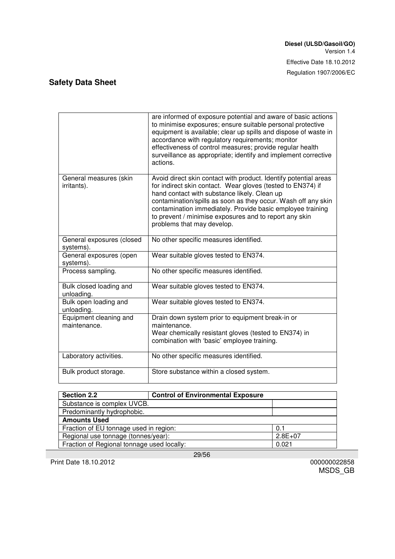|                                        | are informed of exposure potential and aware of basic actions<br>to minimise exposures; ensure suitable personal protective<br>equipment is available; clear up spills and dispose of waste in<br>accordance with regulatory requirements; monitor<br>effectiveness of control measures; provide regular health<br>surveillance as appropriate; identify and implement corrective<br>actions.          |
|----------------------------------------|--------------------------------------------------------------------------------------------------------------------------------------------------------------------------------------------------------------------------------------------------------------------------------------------------------------------------------------------------------------------------------------------------------|
| General measures (skin<br>irritants).  | Avoid direct skin contact with product. Identify potential areas<br>for indirect skin contact. Wear gloves (tested to EN374) if<br>hand contact with substance likely. Clean up<br>contamination/spills as soon as they occur. Wash off any skin<br>contamination immediately. Provide basic employee training<br>to prevent / minimise exposures and to report any skin<br>problems that may develop. |
| General exposures (closed<br>systems). | No other specific measures identified.                                                                                                                                                                                                                                                                                                                                                                 |
| General exposures (open<br>systems).   | Wear suitable gloves tested to EN374.                                                                                                                                                                                                                                                                                                                                                                  |
| Process sampling.                      | No other specific measures identified.                                                                                                                                                                                                                                                                                                                                                                 |
| Bulk closed loading and<br>unloading.  | Wear suitable gloves tested to EN374.                                                                                                                                                                                                                                                                                                                                                                  |
| Bulk open loading and<br>unloading.    | Wear suitable gloves tested to EN374.                                                                                                                                                                                                                                                                                                                                                                  |
| Equipment cleaning and<br>maintenance. | Drain down system prior to equipment break-in or<br>maintenance.<br>Wear chemically resistant gloves (tested to EN374) in<br>combination with 'basic' employee training.                                                                                                                                                                                                                               |
| Laboratory activities.                 | No other specific measures identified.                                                                                                                                                                                                                                                                                                                                                                 |
| Bulk product storage.                  | Store substance within a closed system.                                                                                                                                                                                                                                                                                                                                                                |

| <b>Section 2.2</b><br><b>Control of Environmental Exposure</b> |  |  |  |
|----------------------------------------------------------------|--|--|--|
| Substance is complex UVCB.                                     |  |  |  |
| Predominantly hydrophobic.                                     |  |  |  |
| <b>Amounts Used</b>                                            |  |  |  |
| Fraction of EU tonnage used in region:<br>0.1                  |  |  |  |
| Regional use tonnage (tonnes/year):<br>$2.8E + 07$             |  |  |  |
| Fraction of Regional tonnage used locally:<br>0.021            |  |  |  |

29/56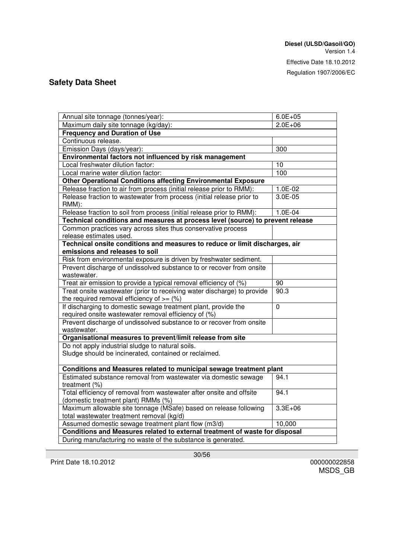Regulation 1907/2006/EC

# **Safety Data Sheet**

| Annual site tonnage (tonnes/year):                                                      | $6.0E + 05$ |
|-----------------------------------------------------------------------------------------|-------------|
| Maximum daily site tonnage (kg/day):                                                    | $2.0E + 06$ |
| <b>Frequency and Duration of Use</b>                                                    |             |
| Continuous release.                                                                     |             |
| Emission Days (days/year):                                                              | 300         |
| Environmental factors not influenced by risk management                                 |             |
| Local freshwater dilution factor:                                                       | 10          |
| Local marine water dilution factor:                                                     | 100         |
| <b>Other Operational Conditions affecting Environmental Exposure</b>                    |             |
| Release fraction to air from process (initial release prior to RMM):                    | 1.0E-02     |
| Release fraction to wastewater from process (initial release prior to<br>RMM):          | $3.0E - 05$ |
| Release fraction to soil from process (initial release prior to RMM):                   | 1.0E-04     |
| Technical conditions and measures at process level (source) to prevent release          |             |
| Common practices vary across sites thus conservative process<br>release estimates used. |             |
| Technical onsite conditions and measures to reduce or limit discharges, air             |             |
| emissions and releases to soil                                                          |             |
| Risk from environmental exposure is driven by freshwater sediment.                      |             |
| Prevent discharge of undissolved substance to or recover from onsite                    |             |
| wastewater.                                                                             |             |
| Treat air emission to provide a typical removal efficiency of (%)                       | 90          |
| Treat onsite wastewater (prior to receiving water discharge) to provide                 | 90.3        |
| the required removal efficiency of $=$ (%)                                              |             |
| If discharging to domestic sewage treatment plant, provide the                          | $\Omega$    |
| required onsite wastewater removal efficiency of (%)                                    |             |
| Prevent discharge of undissolved substance to or recover from onsite                    |             |
| wastewater.                                                                             |             |
| Organisational measures to prevent/limit release from site                              |             |
| Do not apply industrial sludge to natural soils.                                        |             |
| Sludge should be incinerated, contained or reclaimed.                                   |             |
| Conditions and Measures related to municipal sewage treatment plant                     |             |
| Estimated substance removal from wastewater via domestic sewage                         | 94.1        |
| treatment $(\%)$                                                                        |             |
| Total efficiency of removal from wastewater after onsite and offsite                    | 94.1        |
| (domestic treatment plant) RMMs (%)                                                     |             |
| Maximum allowable site tonnage (MSafe) based on release following                       | $3.3E + 06$ |
| total wastewater treatment removal (kg/d)                                               |             |
| Assumed domestic sewage treatment plant flow (m3/d)                                     | 10,000      |
| Conditions and Measures related to external treatment of waste for disposal             |             |
| During manufacturing no waste of the substance is generated.                            |             |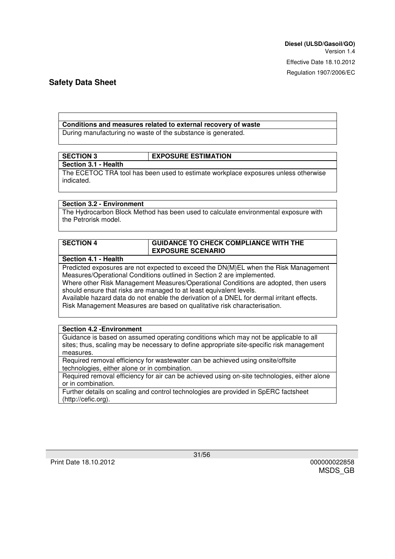#### **Conditions and measures related to external recovery of waste**

During manufacturing no waste of the substance is generated.

#### **SECTION 3** EXPOSURE ESTIMATION

#### **Section 3.1 - Health**

The ECETOC TRA tool has been used to estimate workplace exposures unless otherwise indicated.

#### **Section 3.2 - Environment**

The Hydrocarbon Block Method has been used to calculate environmental exposure with the Petrorisk model.

| <b>SECTION 4</b>  | <b>GUIDANCE TO CHECK COMPLIANCE WITH THE</b> |
|-------------------|----------------------------------------------|
|                   | <b>EXPOSURE SCENARIO</b>                     |
| Cootian 11 Hoolth |                                              |

#### **Section 4.1 - Health**

Predicted exposures are not expected to exceed the DN(M)EL when the Risk Management Measures/Operational Conditions outlined in Section 2 are implemented.

Where other Risk Management Measures/Operational Conditions are adopted, then users should ensure that risks are managed to at least equivalent levels.

Available hazard data do not enable the derivation of a DNEL for dermal irritant effects. Risk Management Measures are based on qualitative risk characterisation.

#### **Section 4.2 -Environment**

Guidance is based on assumed operating conditions which may not be applicable to all sites; thus, scaling may be necessary to define appropriate site-specific risk management measures.

Required removal efficiency for wastewater can be achieved using onsite/offsite technologies, either alone or in combination.

Required removal efficiency for air can be achieved using on-site technologies, either alone or in combination.

Further details on scaling and control technologies are provided in SpERC factsheet (http://cefic.org).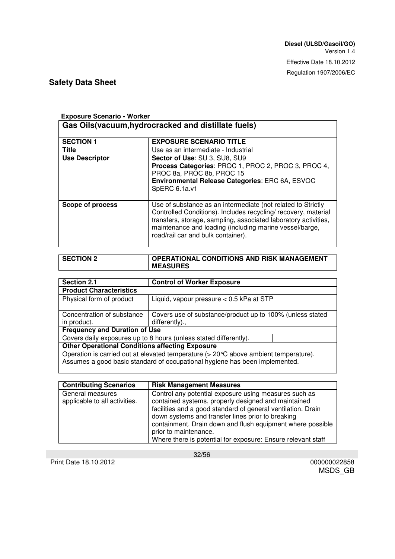# **Exposure Scenario - Worker**

| Gas Oils (vacuum, hydrocracked and distillate fuels) |                                                                                                                                                                                                                                                                                                   |
|------------------------------------------------------|---------------------------------------------------------------------------------------------------------------------------------------------------------------------------------------------------------------------------------------------------------------------------------------------------|
| <b>SECTION 1</b>                                     | <b>EXPOSURE SCENARIO TITLE</b>                                                                                                                                                                                                                                                                    |
| <b>Title</b>                                         | Use as an intermediate - Industrial                                                                                                                                                                                                                                                               |
| Use Descriptor                                       | Sector of Use: SU 3, SU8, SU9<br>Process Categories: PROC 1, PROC 2, PROC 3, PROC 4,<br>PROC 8a, PROC 8b, PROC 15<br>Environmental Release Categories: ERC 6A, ESVOC<br>SpERC 6.1a.v1                                                                                                             |
| Scope of process                                     | Use of substance as an intermediate (not related to Strictly<br>Controlled Conditions). Includes recycling/recovery, material<br>transfers, storage, sampling, associated laboratory activities,<br>maintenance and loading (including marine vessel/barge,<br>road/rail car and bulk container). |

| <b>SECTION 2</b> | OPERATIONAL CONDITIONS AND RISK MANAGEMENT |
|------------------|--------------------------------------------|
|                  | <b>MEASURES</b>                            |

| Section 2.1                                                                                  | <b>Control of Worker Exposure</b>                         |
|----------------------------------------------------------------------------------------------|-----------------------------------------------------------|
| <b>Product Characteristics</b>                                                               |                                                           |
| Physical form of product                                                                     | Liquid, vapour pressure $< 0.5$ kPa at STP                |
|                                                                                              |                                                           |
| Concentration of substance                                                                   | Covers use of substance/product up to 100% (unless stated |
| in product.                                                                                  | differently).,                                            |
| <b>Frequency and Duration of Use</b>                                                         |                                                           |
| Covers daily exposures up to 8 hours (unless stated differently).                            |                                                           |
| <b>Other Operational Conditions affecting Exposure</b>                                       |                                                           |
| Operation is carried out at elevated temperature $(>20\degree C$ above ambient temperature). |                                                           |
|                                                                                              |                                                           |

Assumes a good basic standard of occupational hygiene has been implemented.

| <b>Contributing Scenarios</b>                     | <b>Risk Management Measures</b>                                                                                                                                                                                                                                                                                                                                                          |
|---------------------------------------------------|------------------------------------------------------------------------------------------------------------------------------------------------------------------------------------------------------------------------------------------------------------------------------------------------------------------------------------------------------------------------------------------|
| General measures<br>applicable to all activities. | Control any potential exposure using measures such as<br>contained systems, properly designed and maintained<br>facilities and a good standard of general ventilation. Drain<br>down systems and transfer lines prior to breaking<br>containment. Drain down and flush equipment where possible<br>prior to maintenance.<br>Where there is potential for exposure: Ensure relevant staff |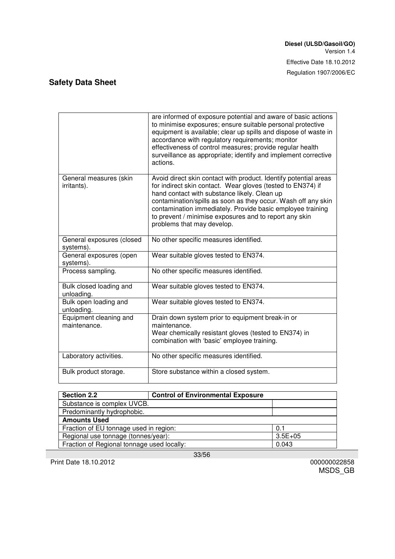|                                        | are informed of exposure potential and aware of basic actions<br>to minimise exposures; ensure suitable personal protective<br>equipment is available; clear up spills and dispose of waste in<br>accordance with regulatory requirements; monitor<br>effectiveness of control measures; provide regular health<br>surveillance as appropriate; identify and implement corrective<br>actions.          |
|----------------------------------------|--------------------------------------------------------------------------------------------------------------------------------------------------------------------------------------------------------------------------------------------------------------------------------------------------------------------------------------------------------------------------------------------------------|
| General measures (skin<br>irritants).  | Avoid direct skin contact with product. Identify potential areas<br>for indirect skin contact. Wear gloves (tested to EN374) if<br>hand contact with substance likely. Clean up<br>contamination/spills as soon as they occur. Wash off any skin<br>contamination immediately. Provide basic employee training<br>to prevent / minimise exposures and to report any skin<br>problems that may develop. |
| General exposures (closed<br>systems). | No other specific measures identified.                                                                                                                                                                                                                                                                                                                                                                 |
| General exposures (open<br>systems).   | Wear suitable gloves tested to EN374.                                                                                                                                                                                                                                                                                                                                                                  |
| Process sampling.                      | No other specific measures identified.                                                                                                                                                                                                                                                                                                                                                                 |
| Bulk closed loading and<br>unloading.  | Wear suitable gloves tested to EN374.                                                                                                                                                                                                                                                                                                                                                                  |
| Bulk open loading and<br>unloading.    | Wear suitable gloves tested to EN374.                                                                                                                                                                                                                                                                                                                                                                  |
| Equipment cleaning and<br>maintenance. | Drain down system prior to equipment break-in or<br>maintenance.<br>Wear chemically resistant gloves (tested to EN374) in<br>combination with 'basic' employee training.                                                                                                                                                                                                                               |
| Laboratory activities.                 | No other specific measures identified.                                                                                                                                                                                                                                                                                                                                                                 |
| Bulk product storage.                  | Store substance within a closed system.                                                                                                                                                                                                                                                                                                                                                                |

| <b>Section 2.2</b>                            | <b>Control of Environmental Exposure</b> |             |
|-----------------------------------------------|------------------------------------------|-------------|
| Substance is complex UVCB.                    |                                          |             |
| Predominantly hydrophobic.                    |                                          |             |
| <b>Amounts Used</b>                           |                                          |             |
| Fraction of EU tonnage used in region:<br>0.1 |                                          |             |
| Regional use tonnage (tonnes/year):           |                                          | $3.5E + 05$ |
| Fraction of Regional tonnage used locally:    |                                          | 0.043       |

33/56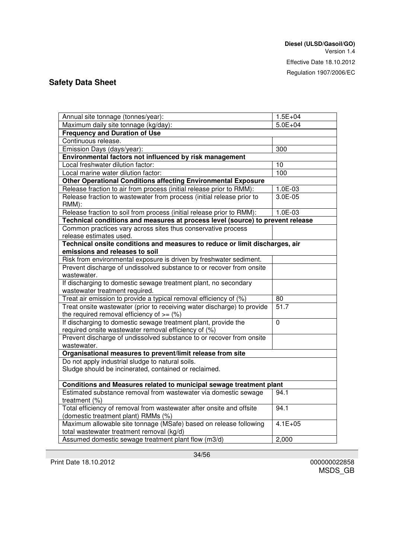#### Regulation 1907/2006/EC

# **Safety Data Sheet**

| Annual site tonnage (tonnes/year):                                                                                     | $1.5E + 04$ |
|------------------------------------------------------------------------------------------------------------------------|-------------|
| Maximum daily site tonnage (kg/day):                                                                                   | $5.0E + 04$ |
| <b>Frequency and Duration of Use</b>                                                                                   |             |
| Continuous release.                                                                                                    |             |
| Emission Days (days/year):                                                                                             | 300         |
| Environmental factors not influenced by risk management                                                                |             |
| Local freshwater dilution factor:                                                                                      | 10          |
| Local marine water dilution factor:                                                                                    | 100         |
| <b>Other Operational Conditions affecting Environmental Exposure</b>                                                   |             |
| Release fraction to air from process (initial release prior to RMM):                                                   | 1.0E-03     |
| Release fraction to wastewater from process (initial release prior to<br>RMM):                                         | 3.0E-05     |
| Release fraction to soil from process (initial release prior to RMM):                                                  | 1.0E-03     |
| Technical conditions and measures at process level (source) to prevent release                                         |             |
| Common practices vary across sites thus conservative process<br>release estimates used.                                |             |
| Technical onsite conditions and measures to reduce or limit discharges, air                                            |             |
| emissions and releases to soil                                                                                         |             |
| Risk from environmental exposure is driven by freshwater sediment.                                                     |             |
| Prevent discharge of undissolved substance to or recover from onsite                                                   |             |
| wastewater.                                                                                                            |             |
| If discharging to domestic sewage treatment plant, no secondary<br>wastewater treatment required.                      |             |
| Treat air emission to provide a typical removal efficiency of (%)                                                      | 80          |
| Treat onsite wastewater (prior to receiving water discharge) to provide<br>the required removal efficiency of $=$ (%)  | 51.7        |
| If discharging to domestic sewage treatment plant, provide the<br>required onsite wastewater removal efficiency of (%) | 0           |
| Prevent discharge of undissolved substance to or recover from onsite<br>wastewater.                                    |             |
| Organisational measures to prevent/limit release from site                                                             |             |
| Do not apply industrial sludge to natural soils.                                                                       |             |
| Sludge should be incinerated, contained or reclaimed.                                                                  |             |
| Conditions and Measures related to municipal sewage treatment plant                                                    |             |
| Estimated substance removal from wastewater via domestic sewage<br>treatment $(\%)$                                    | 94.1        |
| Total efficiency of removal from wastewater after onsite and offsite<br>(domestic treatment plant) RMMs (%)            | 94.1        |
| Maximum allowable site tonnage (MSafe) based on release following<br>total wastewater treatment removal (kg/d)         | $4.1E + 05$ |
| Assumed domestic sewage treatment plant flow (m3/d)                                                                    | 2,000       |
|                                                                                                                        |             |

34/56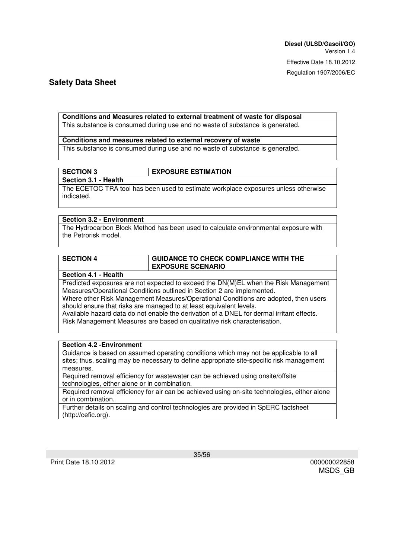**Conditions and Measures related to external treatment of waste for disposal**

This substance is consumed during use and no waste of substance is generated.

#### **Conditions and measures related to external recovery of waste**

This substance is consumed during use and no waste of substance is generated.

#### **SECTION 3 EXPOSURE ESTIMATION**

**Section 3.1 - Health**

The ECETOC TRA tool has been used to estimate workplace exposures unless otherwise indicated.

#### **Section 3.2 - Environment**

The Hydrocarbon Block Method has been used to calculate environmental exposure with the Petrorisk model.

| <b>SECTION 4</b> | GUIDANCE TO CHECK COMPLIANCE WITH THE |
|------------------|---------------------------------------|
|                  | <b>EXPOSURE SCENARIO</b>              |

**Section 4.1 - Health**

Predicted exposures are not expected to exceed the DN(M)EL when the Risk Management Measures/Operational Conditions outlined in Section 2 are implemented.

Where other Risk Management Measures/Operational Conditions are adopted, then users should ensure that risks are managed to at least equivalent levels.

Available hazard data do not enable the derivation of a DNEL for dermal irritant effects. Risk Management Measures are based on qualitative risk characterisation.

#### **Section 4.2 -Environment**

Guidance is based on assumed operating conditions which may not be applicable to all sites; thus, scaling may be necessary to define appropriate site-specific risk management measures.

Required removal efficiency for wastewater can be achieved using onsite/offsite technologies, either alone or in combination.

Required removal efficiency for air can be achieved using on-site technologies, either alone or in combination.

Further details on scaling and control technologies are provided in SpERC factsheet (http://cefic.org).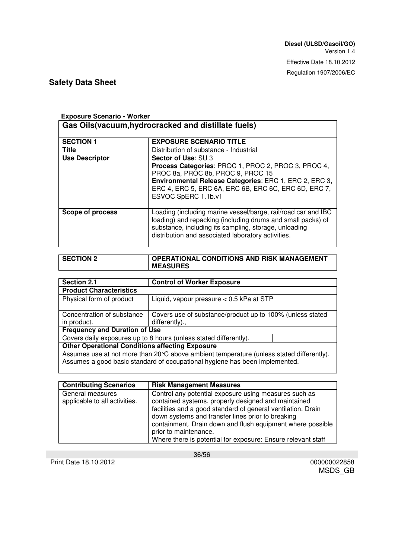# **Exposure Scenario - Worker**

| Gas Oils (vacuum, hydrocracked and distillate fuels) |                                                                                                                                                                                                                                                          |
|------------------------------------------------------|----------------------------------------------------------------------------------------------------------------------------------------------------------------------------------------------------------------------------------------------------------|
| <b>SECTION 1</b>                                     | <b>EXPOSURE SCENARIO TITLE</b>                                                                                                                                                                                                                           |
| <b>Title</b>                                         | Distribution of substance - Industrial                                                                                                                                                                                                                   |
| <b>Use Descriptor</b>                                | Sector of Use: SU 3<br>Process Categories: PROC 1, PROC 2, PROC 3, PROC 4,<br>PROC 8a, PROC 8b, PROC 9, PROC 15<br>Environmental Release Categories: ERC 1, ERC 2, ERC 3,<br>ERC 4, ERC 5, ERC 6A, ERC 6B, ERC 6C, ERC 6D, ERC 7,<br>ESVOC SpERC 1.1b.v1 |
| Scope of process                                     | Loading (including marine vessel/barge, rail/road car and IBC<br>loading) and repacking (including drums and small packs) of<br>substance, including its sampling, storage, unloading<br>distribution and associated laboratory activities.              |

| <b>SECTION 2</b> | OPERATIONAL CONDITIONS AND RISK MANAGEMENT |
|------------------|--------------------------------------------|
|                  | <b>MEASURES</b>                            |

| Section 2.1                                                                               | <b>Control of Worker Exposure</b>                         |  |
|-------------------------------------------------------------------------------------------|-----------------------------------------------------------|--|
| <b>Product Characteristics</b>                                                            |                                                           |  |
| Physical form of product                                                                  | Liquid, vapour pressure $< 0.5$ kPa at STP                |  |
|                                                                                           |                                                           |  |
| Concentration of substance                                                                | Covers use of substance/product up to 100% (unless stated |  |
| in product.                                                                               | differently).,                                            |  |
| <b>Frequency and Duration of Use</b>                                                      |                                                           |  |
| Covers daily exposures up to 8 hours (unless stated differently).                         |                                                           |  |
| <b>Other Operational Conditions affecting Exposure</b>                                    |                                                           |  |
| Assumes use at not more than 20 °C above ambient temperature (unless stated differently). |                                                           |  |

Assumes a good basic standard of occupational hygiene has been implemented.

| <b>Contributing Scenarios</b>                     | <b>Risk Management Measures</b>                                                                                                                                                                                                                                                                                                                                                          |
|---------------------------------------------------|------------------------------------------------------------------------------------------------------------------------------------------------------------------------------------------------------------------------------------------------------------------------------------------------------------------------------------------------------------------------------------------|
| General measures<br>applicable to all activities. | Control any potential exposure using measures such as<br>contained systems, properly designed and maintained<br>facilities and a good standard of general ventilation. Drain<br>down systems and transfer lines prior to breaking<br>containment. Drain down and flush equipment where possible<br>prior to maintenance.<br>Where there is potential for exposure: Ensure relevant staff |

Print Date 18.10.2012 000000022858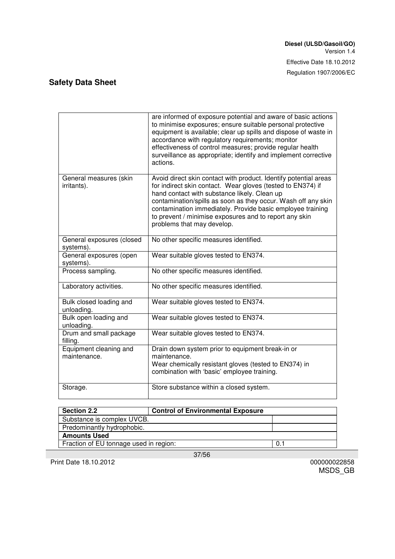|                                        | are informed of exposure potential and aware of basic actions<br>to minimise exposures; ensure suitable personal protective<br>equipment is available; clear up spills and dispose of waste in<br>accordance with regulatory requirements; monitor<br>effectiveness of control measures; provide regular health<br>surveillance as appropriate; identify and implement corrective<br>actions. |
|----------------------------------------|-----------------------------------------------------------------------------------------------------------------------------------------------------------------------------------------------------------------------------------------------------------------------------------------------------------------------------------------------------------------------------------------------|
| General measures (skin                 | Avoid direct skin contact with product. Identify potential areas                                                                                                                                                                                                                                                                                                                              |
| irritants).                            | for indirect skin contact. Wear gloves (tested to EN374) if<br>hand contact with substance likely. Clean up<br>contamination/spills as soon as they occur. Wash off any skin<br>contamination immediately. Provide basic employee training<br>to prevent / minimise exposures and to report any skin<br>problems that may develop.                                                            |
| General exposures (closed<br>systems). | No other specific measures identified.                                                                                                                                                                                                                                                                                                                                                        |
| General exposures (open<br>systems).   | Wear suitable gloves tested to EN374.                                                                                                                                                                                                                                                                                                                                                         |
| Process sampling.                      | No other specific measures identified.                                                                                                                                                                                                                                                                                                                                                        |
| Laboratory activities.                 | No other specific measures identified.                                                                                                                                                                                                                                                                                                                                                        |
| Bulk closed loading and<br>unloading.  | Wear suitable gloves tested to EN374.                                                                                                                                                                                                                                                                                                                                                         |
| Bulk open loading and<br>unloading.    | Wear suitable gloves tested to EN374.                                                                                                                                                                                                                                                                                                                                                         |
| Drum and small package<br>filling.     | Wear suitable gloves tested to EN374.                                                                                                                                                                                                                                                                                                                                                         |
| Equipment cleaning and<br>maintenance. | Drain down system prior to equipment break-in or<br>maintenance.<br>Wear chemically resistant gloves (tested to EN374) in<br>combination with 'basic' employee training.                                                                                                                                                                                                                      |
| Storage.                               | Store substance within a closed system.                                                                                                                                                                                                                                                                                                                                                       |

| <b>Section 2.2</b>                     | <b>Control of Environmental Exposure</b> |     |
|----------------------------------------|------------------------------------------|-----|
| Substance is complex UVCB.             |                                          |     |
| Predominantly hydrophobic.             |                                          |     |
| <b>Amounts Used</b>                    |                                          |     |
| Fraction of EU tonnage used in region: |                                          | 0.1 |

37/56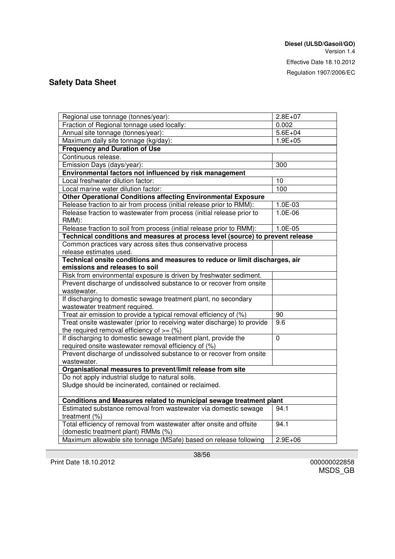### Regulation 1907/2006/EC

# **Safety Data Sheet**

| Regional use tonnage (tonnes/year):                                                   | $2.8E + 07$ |
|---------------------------------------------------------------------------------------|-------------|
| Fraction of Regional tonnage used locally:                                            | 0.002       |
| Annual site tonnage (tonnes/year):                                                    | $5.6E + 04$ |
| Maximum daily site tonnage (kg/day):                                                  | $1.9E + 05$ |
| <b>Frequency and Duration of Use</b>                                                  |             |
| Continuous release.                                                                   |             |
| Emission Days (days/year):                                                            | 300         |
| Environmental factors not influenced by risk management                               |             |
| Local freshwater dilution factor:                                                     | 10          |
| Local marine water dilution factor:                                                   | 100         |
| <b>Other Operational Conditions affecting Environmental Exposure</b>                  |             |
| Release fraction to air from process (initial release prior to RMM):                  | 1.0E-03     |
| Release fraction to wastewater from process (initial release prior to                 | 1.0E-06     |
| RMM):                                                                                 |             |
| Release fraction to soil from process (initial release prior to RMM):                 | 1.0E-05     |
| Technical conditions and measures at process level (source) to prevent release        |             |
| Common practices vary across sites thus conservative process                          |             |
| release estimates used.                                                               |             |
| Technical onsite conditions and measures to reduce or limit discharges, air           |             |
| emissions and releases to soil                                                        |             |
| Risk from environmental exposure is driven by freshwater sediment.                    |             |
| Prevent discharge of undissolved substance to or recover from onsite                  |             |
| wastewater.                                                                           |             |
| If discharging to domestic sewage treatment plant, no secondary                       |             |
| wastewater treatment required.                                                        |             |
| Treat air emission to provide a typical removal efficiency of (%)                     | 90          |
| Treat onsite wastewater (prior to receiving water discharge) to provide               | 9.6         |
| the required removal efficiency of $=$ (%)                                            |             |
| If discharging to domestic sewage treatment plant, provide the                        | $\Omega$    |
| required onsite wastewater removal efficiency of (%)                                  |             |
| Prevent discharge of undissolved substance to or recover from onsite                  |             |
| wastewater.                                                                           |             |
| Organisational measures to prevent/limit release from site                            |             |
| Do not apply industrial sludge to natural soils.                                      |             |
| Sludge should be incinerated, contained or reclaimed.                                 |             |
|                                                                                       |             |
| Conditions and Measures related to municipal sewage treatment plant                   |             |
| Estimated substance removal from wastewater via domestic sewage                       | 94.1        |
| treatment (%)<br>Total efficiency of removal from wastewater after onsite and offsite | 94.1        |
| (domestic treatment plant) RMMs (%)                                                   |             |
| Maximum allowable site tonnage (MSafe) based on release following                     | $2.9E + 06$ |
|                                                                                       |             |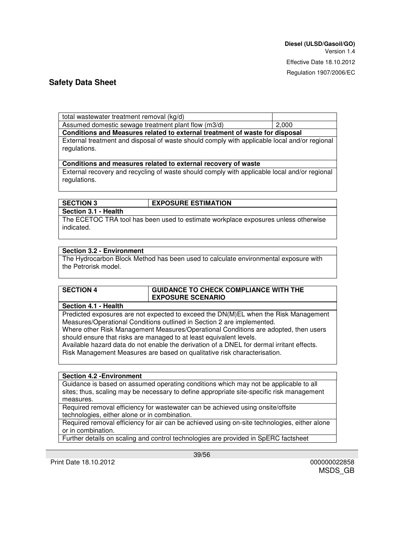total wastewater treatment removal (kg/d)

Assumed domestic sewage treatment plant flow (m3/d) 2,000

**Conditions and Measures related to external treatment of waste for disposal**

External treatment and disposal of waste should comply with applicable local and/or regional regulations.

#### **Conditions and measures related to external recovery of waste**

External recovery and recycling of waste should comply with applicable local and/or regional regulations.

#### **SECTION 3 EXPOSURE ESTIMATION**

**Section 3.1 - Health**

The ECETOC TRA tool has been used to estimate workplace exposures unless otherwise indicated.

#### **Section 3.2 - Environment**

The Hydrocarbon Block Method has been used to calculate environmental exposure with the Petrorisk model.

#### **SECTION 4 GUIDANCE TO CHECK COMPLIANCE WITH THE EXPOSURE SCENARIO**

#### **Section 4.1 - Health**

Predicted exposures are not expected to exceed the DN(M)EL when the Risk Management Measures/Operational Conditions outlined in Section 2 are implemented.

Where other Risk Management Measures/Operational Conditions are adopted, then users should ensure that risks are managed to at least equivalent levels.

Available hazard data do not enable the derivation of a DNEL for dermal irritant effects.

Risk Management Measures are based on qualitative risk characterisation.

#### **Section 4.2 -Environment**

Guidance is based on assumed operating conditions which may not be applicable to all sites; thus, scaling may be necessary to define appropriate site-specific risk management measures.

Required removal efficiency for wastewater can be achieved using onsite/offsite technologies, either alone or in combination.

Required removal efficiency for air can be achieved using on-site technologies, either alone or in combination.

Further details on scaling and control technologies are provided in SpERC factsheet

Print Date 18.10.2012 **000000022858**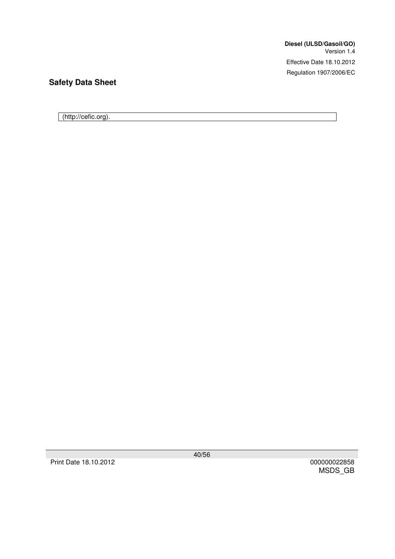**Diesel (ULSD/Gasoil/GO)** Version 1.4 Effective Date 18.10.2012 Regulation 1907/2006/EC

# **Safety Data Sheet**

(http://cefic.org).

40/56

MSDS\_GB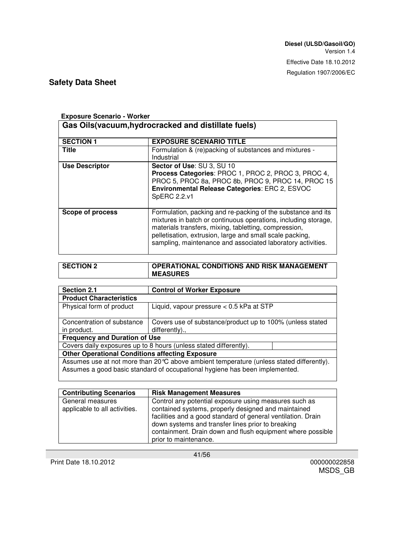#### **Exposure Scenario - Worker**

| Gas Oils (vacuum, hydrocracked and distillate fuels) |                                                                                                                                                                                                                                                                                                                    |  |
|------------------------------------------------------|--------------------------------------------------------------------------------------------------------------------------------------------------------------------------------------------------------------------------------------------------------------------------------------------------------------------|--|
| <b>SECTION 1</b>                                     | <b>EXPOSURE SCENARIO TITLE</b>                                                                                                                                                                                                                                                                                     |  |
| <b>Title</b>                                         | Formulation & (re)packing of substances and mixtures -<br>Industrial                                                                                                                                                                                                                                               |  |
| <b>Use Descriptor</b>                                | Sector of Use: SU 3, SU 10<br>Process Categories: PROC 1, PROC 2, PROC 3, PROC 4,<br>PROC 5, PROC 8a, PROC 8b, PROC 9, PROC 14, PROC 15<br>Environmental Release Categories: ERC 2, ESVOC<br>SpERC 2.2.v1                                                                                                          |  |
| Scope of process                                     | Formulation, packing and re-packing of the substance and its<br>mixtures in batch or continuous operations, including storage,<br>materials transfers, mixing, tabletting, compression,<br>pelletisation, extrusion, large and small scale packing,<br>sampling, maintenance and associated laboratory activities. |  |

#### **SECTION 2 OPERATIONAL CONDITIONS AND RISK MANAGEMENT MEASURES**

| <b>Section 2.1</b>                                                                                                                                                       | <b>Control of Worker Exposure</b>                         |  |
|--------------------------------------------------------------------------------------------------------------------------------------------------------------------------|-----------------------------------------------------------|--|
| <b>Product Characteristics</b>                                                                                                                                           |                                                           |  |
| Physical form of product                                                                                                                                                 | Liquid, vapour pressure < 0.5 kPa at STP                  |  |
| Concentration of substance                                                                                                                                               | Covers use of substance/product up to 100% (unless stated |  |
| in product.                                                                                                                                                              | differently).,                                            |  |
| <b>Frequency and Duration of Use</b>                                                                                                                                     |                                                           |  |
| Covers daily exposures up to 8 hours (unless stated differently).                                                                                                        |                                                           |  |
| <b>Other Operational Conditions affecting Exposure</b>                                                                                                                   |                                                           |  |
| Assumes use at not more than 20 °C above ambient temperature (unless stated differently).<br>Assumes a good basic standard of occupational hygiene has been implemented. |                                                           |  |

| <b>Contributing Scenarios</b>                     | <b>Risk Management Measures</b>                                                                                                                                                                                                                                                                                          |
|---------------------------------------------------|--------------------------------------------------------------------------------------------------------------------------------------------------------------------------------------------------------------------------------------------------------------------------------------------------------------------------|
| General measures<br>applicable to all activities. | Control any potential exposure using measures such as<br>contained systems, properly designed and maintained<br>facilities and a good standard of general ventilation. Drain<br>down systems and transfer lines prior to breaking<br>containment. Drain down and flush equipment where possible<br>prior to maintenance. |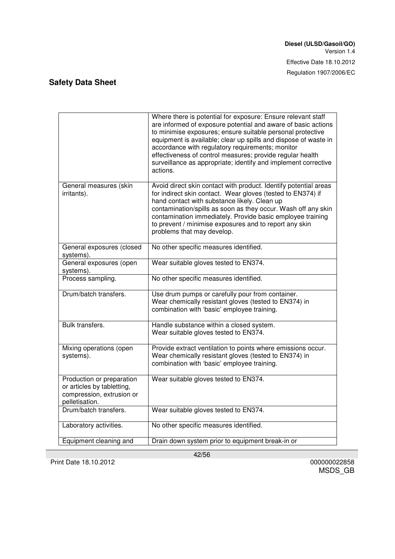|                                                                                                        | Where there is potential for exposure: Ensure relevant staff<br>are informed of exposure potential and aware of basic actions<br>to minimise exposures; ensure suitable personal protective<br>equipment is available; clear up spills and dispose of waste in<br>accordance with regulatory requirements; monitor<br>effectiveness of control measures; provide regular health<br>surveillance as appropriate; identify and implement corrective<br>actions. |
|--------------------------------------------------------------------------------------------------------|---------------------------------------------------------------------------------------------------------------------------------------------------------------------------------------------------------------------------------------------------------------------------------------------------------------------------------------------------------------------------------------------------------------------------------------------------------------|
| General measures (skin<br>irritants).                                                                  | Avoid direct skin contact with product. Identify potential areas<br>for indirect skin contact. Wear gloves (tested to EN374) if<br>hand contact with substance likely. Clean up<br>contamination/spills as soon as they occur. Wash off any skin<br>contamination immediately. Provide basic employee training<br>to prevent / minimise exposures and to report any skin<br>problems that may develop.                                                        |
| General exposures (closed<br>systems).                                                                 | No other specific measures identified.                                                                                                                                                                                                                                                                                                                                                                                                                        |
| General exposures (open<br>systems).                                                                   | Wear suitable gloves tested to EN374.                                                                                                                                                                                                                                                                                                                                                                                                                         |
| Process sampling.                                                                                      | No other specific measures identified.                                                                                                                                                                                                                                                                                                                                                                                                                        |
| Drum/batch transfers.                                                                                  | Use drum pumps or carefully pour from container.<br>Wear chemically resistant gloves (tested to EN374) in<br>combination with 'basic' employee training.                                                                                                                                                                                                                                                                                                      |
| Bulk transfers.                                                                                        | Handle substance within a closed system.<br>Wear suitable gloves tested to EN374.                                                                                                                                                                                                                                                                                                                                                                             |
| Mixing operations (open<br>systems).                                                                   | Provide extract ventilation to points where emissions occur.<br>Wear chemically resistant gloves (tested to EN374) in<br>combination with 'basic' employee training.                                                                                                                                                                                                                                                                                          |
| Production or preparation<br>or articles by tabletting,<br>compression, extrusion or<br>pelletisation. | Wear suitable gloves tested to EN374.                                                                                                                                                                                                                                                                                                                                                                                                                         |
| Drum/batch transfers.                                                                                  | Wear suitable gloves tested to EN374.                                                                                                                                                                                                                                                                                                                                                                                                                         |
| Laboratory activities.                                                                                 | No other specific measures identified.                                                                                                                                                                                                                                                                                                                                                                                                                        |
| Equipment cleaning and                                                                                 | Drain down system prior to equipment break-in or                                                                                                                                                                                                                                                                                                                                                                                                              |

Print Date 18.10.2012 000000022858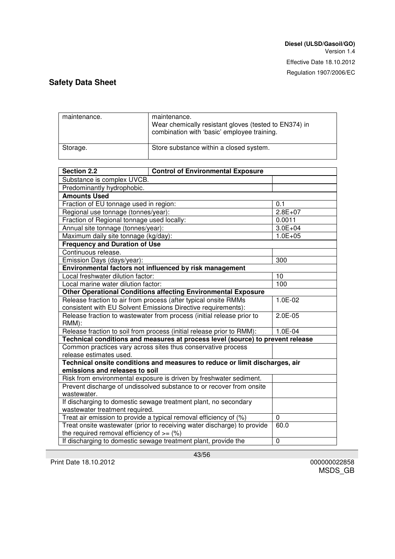| maintenance. | maintenance.<br>Wear chemically resistant gloves (tested to EN374) in<br>combination with 'basic' employee training. |
|--------------|----------------------------------------------------------------------------------------------------------------------|
| Storage.     | Store substance within a closed system.                                                                              |

| <b>Section 2.2</b>                                                                                                                         | <b>Control of Environmental Exposure</b>                                       |             |  |
|--------------------------------------------------------------------------------------------------------------------------------------------|--------------------------------------------------------------------------------|-------------|--|
| Substance is complex UVCB.                                                                                                                 |                                                                                |             |  |
| Predominantly hydrophobic.                                                                                                                 |                                                                                |             |  |
| <b>Amounts Used</b>                                                                                                                        |                                                                                |             |  |
| Fraction of EU tonnage used in region:                                                                                                     |                                                                                | 0.1         |  |
| Regional use tonnage (tonnes/year):                                                                                                        |                                                                                | $2.8E+07$   |  |
| Fraction of Regional tonnage used locally:                                                                                                 |                                                                                | 0.0011      |  |
| Annual site tonnage (tonnes/year):                                                                                                         |                                                                                | $3.0E + 04$ |  |
| Maximum daily site tonnage (kg/day):                                                                                                       |                                                                                | $1.0E + 05$ |  |
| <b>Frequency and Duration of Use</b>                                                                                                       |                                                                                |             |  |
| Continuous release.                                                                                                                        |                                                                                |             |  |
| Emission Days (days/year):                                                                                                                 |                                                                                | 300         |  |
|                                                                                                                                            | Environmental factors not influenced by risk management                        |             |  |
| Local freshwater dilution factor:                                                                                                          |                                                                                | 10          |  |
| Local marine water dilution factor:                                                                                                        |                                                                                | 100         |  |
|                                                                                                                                            | <b>Other Operational Conditions affecting Environmental Exposure</b>           |             |  |
|                                                                                                                                            | Release fraction to air from process (after typical onsite RMMs                | 1.0E-02     |  |
|                                                                                                                                            | consistent with EU Solvent Emissions Directive requirements):                  |             |  |
| Release fraction to wastewater from process (initial release prior to                                                                      |                                                                                | $2.0E-05$   |  |
| RMM):                                                                                                                                      |                                                                                |             |  |
| Release fraction to soil from process (initial release prior to RMM):                                                                      |                                                                                | 1.0E-04     |  |
|                                                                                                                                            | Technical conditions and measures at process level (source) to prevent release |             |  |
| Common practices vary across sites thus conservative process                                                                               |                                                                                |             |  |
| release estimates used.                                                                                                                    |                                                                                |             |  |
| Technical onsite conditions and measures to reduce or limit discharges, air<br>emissions and releases to soil                              |                                                                                |             |  |
|                                                                                                                                            |                                                                                |             |  |
| Risk from environmental exposure is driven by freshwater sediment.<br>Prevent discharge of undissolved substance to or recover from onsite |                                                                                |             |  |
| wastewater.                                                                                                                                |                                                                                |             |  |
| If discharging to domestic sewage treatment plant, no secondary                                                                            |                                                                                |             |  |
| wastewater treatment required.                                                                                                             |                                                                                |             |  |
| Treat air emission to provide a typical removal efficiency of (%)                                                                          |                                                                                | 0           |  |
| Treat onsite wastewater (prior to receiving water discharge) to provide                                                                    |                                                                                | 60.0        |  |
| the required removal efficiency of $=$ (%)                                                                                                 |                                                                                |             |  |
| If discharging to domestic sewage treatment plant, provide the                                                                             |                                                                                | $\mathbf 0$ |  |

Print Date 18.10.2012 000000022858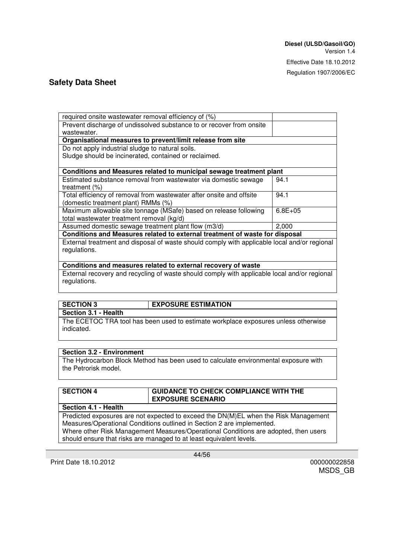| required onsite wastewater removal efficiency of (%)                        |             |  |
|-----------------------------------------------------------------------------|-------------|--|
| Prevent discharge of undissolved substance to or recover from onsite        |             |  |
| wastewater.                                                                 |             |  |
| Organisational measures to prevent/limit release from site                  |             |  |
| Do not apply industrial sludge to natural soils.                            |             |  |
| Sludge should be incinerated, contained or reclaimed.                       |             |  |
|                                                                             |             |  |
| Conditions and Measures related to municipal sewage treatment plant         |             |  |
| Estimated substance removal from wastewater via domestic sewage             | 94.1        |  |
| treatment $(%)$                                                             |             |  |
| Total efficiency of removal from wastewater after onsite and offsite        | 94.1        |  |
| (domestic treatment plant) RMMs (%)                                         |             |  |
| Maximum allowable site tonnage (MSafe) based on release following           | $6.8E + 05$ |  |
| total wastewater treatment removal (kg/d)                                   |             |  |
| Assumed domestic sewage treatment plant flow (m3/d)                         | 2,000       |  |
| Conditions and Measures related to external treatment of waste for disposal |             |  |

External treatment and disposal of waste should comply with applicable local and/or regional regulations.

#### **Conditions and measures related to external recovery of waste**

External recovery and recycling of waste should comply with applicable local and/or regional regulations.

#### **SECTION 3 EXPOSURE ESTIMATION**

**Section 3.1 - Health**

The ECETOC TRA tool has been used to estimate workplace exposures unless otherwise indicated.

#### **Section 3.2 - Environment**

The Hydrocarbon Block Method has been used to calculate environmental exposure with the Petrorisk model.

| <b>SECTION 4</b>     | <b>GUIDANCE TO CHECK COMPLIANCE WITH THE</b><br><b>EXPOSURE SCENARIO</b> |
|----------------------|--------------------------------------------------------------------------|
| Section 4.1 - Health |                                                                          |

Predicted exposures are not expected to exceed the DN(M)EL when the Risk Management Measures/Operational Conditions outlined in Section 2 are implemented. Where other Risk Management Measures/Operational Conditions are adopted, then users should ensure that risks are managed to at least equivalent levels.

Print Date 18.10.2012 000000022858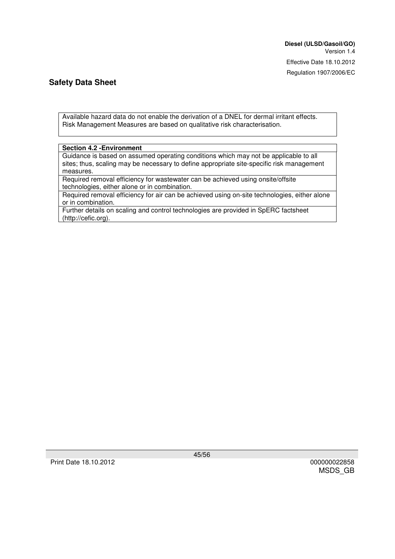Available hazard data do not enable the derivation of a DNEL for dermal irritant effects. Risk Management Measures are based on qualitative risk characterisation.

#### **Section 4.2 -Environment**

Guidance is based on assumed operating conditions which may not be applicable to all sites; thus, scaling may be necessary to define appropriate site-specific risk management measures.

Required removal efficiency for wastewater can be achieved using onsite/offsite technologies, either alone or in combination.

Required removal efficiency for air can be achieved using on-site technologies, either alone or in combination.

Further details on scaling and control technologies are provided in SpERC factsheet (http://cefic.org).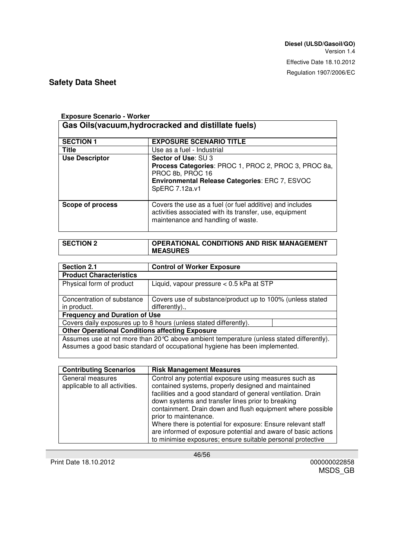#### **Exposure Scenario - Worker**

| Gas Oils (vacuum, hydrocracked and distillate fuels) |                                                                                                                                                                            |  |
|------------------------------------------------------|----------------------------------------------------------------------------------------------------------------------------------------------------------------------------|--|
| <b>SECTION 1</b>                                     | <b>EXPOSURE SCENARIO TITLE</b>                                                                                                                                             |  |
| <b>Title</b>                                         | Use as a fuel - Industrial                                                                                                                                                 |  |
| <b>Use Descriptor</b>                                | Sector of Use: SU 3<br>Process Categories: PROC 1, PROC 2, PROC 3, PROC 8a,<br>PROC 8b, PROC 16<br><b>Environmental Release Categories: ERC 7, ESVOC</b><br>SpERC 7.12a.v1 |  |
| Scope of process                                     | Covers the use as a fuel (or fuel additive) and includes<br>activities associated with its transfer, use, equipment<br>maintenance and handling of waste.                  |  |

#### **SECTION 2 OPERATIONAL CONDITIONS AND RISK MANAGEMENT MEASURES**

| <b>Section 2.1</b>                                                                                                                                                                | <b>Control of Worker Exposure</b>                                           |  |  |
|-----------------------------------------------------------------------------------------------------------------------------------------------------------------------------------|-----------------------------------------------------------------------------|--|--|
| <b>Product Characteristics</b>                                                                                                                                                    |                                                                             |  |  |
| Physical form of product                                                                                                                                                          | Liquid, vapour pressure $< 0.5$ kPa at STP                                  |  |  |
| Concentration of substance<br>in product.                                                                                                                                         | Covers use of substance/product up to 100% (unless stated<br>differently)., |  |  |
| <b>Frequency and Duration of Use</b>                                                                                                                                              |                                                                             |  |  |
| Covers daily exposures up to 8 hours (unless stated differently).                                                                                                                 |                                                                             |  |  |
| <b>Other Operational Conditions affecting Exposure</b>                                                                                                                            |                                                                             |  |  |
| Assumes use at not more than 20 $\degree$ C above ambient temperature (unless stated differently).<br>Assumes a good basic standard of occupational hygiene has been implemented. |                                                                             |  |  |
|                                                                                                                                                                                   |                                                                             |  |  |

| <b>Contributing Scenarios</b>                     | <b>Risk Management Measures</b>                                                                                                                                                                                                                                                                                                                                                                                                                                                                                         |
|---------------------------------------------------|-------------------------------------------------------------------------------------------------------------------------------------------------------------------------------------------------------------------------------------------------------------------------------------------------------------------------------------------------------------------------------------------------------------------------------------------------------------------------------------------------------------------------|
| General measures<br>applicable to all activities. | Control any potential exposure using measures such as<br>contained systems, properly designed and maintained<br>facilities and a good standard of general ventilation. Drain<br>down systems and transfer lines prior to breaking<br>containment. Drain down and flush equipment where possible<br>prior to maintenance.<br>Where there is potential for exposure: Ensure relevant staff<br>are informed of exposure potential and aware of basic actions<br>to minimise exposures; ensure suitable personal protective |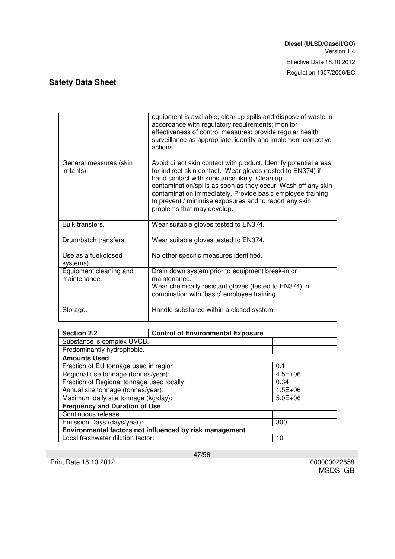|                                        | equipment is available; clear up spills and dispose of waste in<br>accordance with regulatory requirements; monitor<br>effectiveness of control measures; provide regular health<br>surveillance as appropriate; identify and implement corrective<br>actions.                                                                                                                                         |
|----------------------------------------|--------------------------------------------------------------------------------------------------------------------------------------------------------------------------------------------------------------------------------------------------------------------------------------------------------------------------------------------------------------------------------------------------------|
| General measures (skin<br>irritants).  | Avoid direct skin contact with product. Identify potential areas<br>for indirect skin contact. Wear gloves (tested to EN374) if<br>hand contact with substance likely. Clean up<br>contamination/spills as soon as they occur. Wash off any skin<br>contamination immediately. Provide basic employee training<br>to prevent / minimise exposures and to report any skin<br>problems that may develop. |
| Bulk transfers.                        | Wear suitable gloves tested to EN374.                                                                                                                                                                                                                                                                                                                                                                  |
| Drum/batch transfers.                  | Wear suitable gloves tested to EN374.                                                                                                                                                                                                                                                                                                                                                                  |
| Use as a fuel(closed<br>systems).      | No other specific measures identified.                                                                                                                                                                                                                                                                                                                                                                 |
| Equipment cleaning and<br>maintenance. | Drain down system prior to equipment break-in or<br>maintenance.<br>Wear chemically resistant gloves (tested to EN374) in<br>combination with 'basic' employee training.                                                                                                                                                                                                                               |
| Storage.                               | Handle substance within a closed system.                                                                                                                                                                                                                                                                                                                                                               |

| <b>Section 2.2</b>                                      | <b>Control of Environmental Exposure</b> |             |  |
|---------------------------------------------------------|------------------------------------------|-------------|--|
|                                                         | Substance is complex UVCB.               |             |  |
| Predominantly hydrophobic.                              |                                          |             |  |
| <b>Amounts Used</b>                                     |                                          |             |  |
| Fraction of EU tonnage used in region:                  |                                          | 0.1         |  |
| Regional use tonnage (tonnes/year):                     |                                          | $4.5E + 06$ |  |
| Fraction of Regional tonnage used locally:              |                                          | 0.34        |  |
| Annual site tonnage (tonnes/year):                      |                                          | $1.5E + 06$ |  |
| Maximum daily site tonnage (kg/day):                    |                                          | $5.0E + 06$ |  |
| <b>Frequency and Duration of Use</b>                    |                                          |             |  |
| Continuous release.                                     |                                          |             |  |
| Emission Days (days/year):                              |                                          | 300         |  |
| Environmental factors not influenced by risk management |                                          |             |  |
| Local freshwater dilution factor:                       |                                          | 10          |  |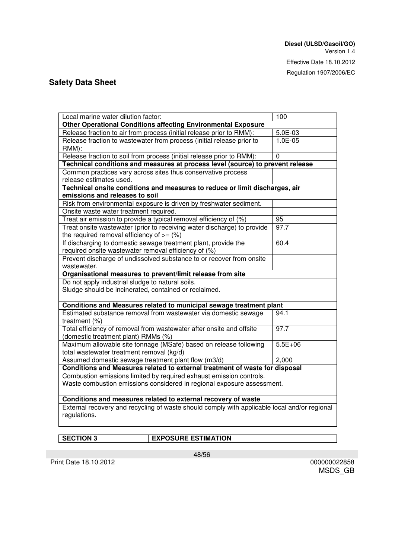Regulation 1907/2006/EC

# **Safety Data Sheet**

| Local marine water dilution factor:                                                          | 100         |  |  |
|----------------------------------------------------------------------------------------------|-------------|--|--|
| Other Operational Conditions affecting Environmental Exposure                                |             |  |  |
| Release fraction to air from process (initial release prior to RMM):                         | 5.0E-03     |  |  |
| Release fraction to wastewater from process (initial release prior to                        | 1.0E-05     |  |  |
| RMM):                                                                                        |             |  |  |
| Release fraction to soil from process (initial release prior to RMM):                        | $\Omega$    |  |  |
| Technical conditions and measures at process level (source) to prevent release               |             |  |  |
| Common practices vary across sites thus conservative process                                 |             |  |  |
| release estimates used.                                                                      |             |  |  |
| Technical onsite conditions and measures to reduce or limit discharges, air                  |             |  |  |
| emissions and releases to soil                                                               |             |  |  |
| Risk from environmental exposure is driven by freshwater sediment.                           |             |  |  |
| Onsite waste water treatment required.                                                       |             |  |  |
| Treat air emission to provide a typical removal efficiency of (%)                            | 95          |  |  |
| Treat onsite wastewater (prior to receiving water discharge) to provide                      | 97.7        |  |  |
| the required removal efficiency of $=$ (%)                                                   |             |  |  |
| If discharging to domestic sewage treatment plant, provide the                               | 60.4        |  |  |
| required onsite wastewater removal efficiency of (%)                                         |             |  |  |
| Prevent discharge of undissolved substance to or recover from onsite                         |             |  |  |
| wastewater.                                                                                  |             |  |  |
| Organisational measures to prevent/limit release from site                                   |             |  |  |
| Do not apply industrial sludge to natural soils.                                             |             |  |  |
| Sludge should be incinerated, contained or reclaimed.                                        |             |  |  |
|                                                                                              |             |  |  |
| Conditions and Measures related to municipal sewage treatment plant                          |             |  |  |
| Estimated substance removal from wastewater via domestic sewage                              | 94.1        |  |  |
| treatment $(\%)$                                                                             |             |  |  |
| Total efficiency of removal from wastewater after onsite and offsite                         | 97.7        |  |  |
| (domestic treatment plant) RMMs (%)                                                          |             |  |  |
| Maximum allowable site tonnage (MSafe) based on release following                            | $5.5E + 06$ |  |  |
| total wastewater treatment removal (kg/d)                                                    |             |  |  |
| Assumed domestic sewage treatment plant flow (m3/d)                                          | 2,000       |  |  |
| Conditions and Measures related to external treatment of waste for disposal                  |             |  |  |
| Combustion emissions limited by required exhaust emission controls.                          |             |  |  |
| Waste combustion emissions considered in regional exposure assessment.                       |             |  |  |
|                                                                                              |             |  |  |
| Conditions and measures related to external recovery of waste                                |             |  |  |
| External recovery and recycling of waste should comply with applicable local and/or regional |             |  |  |
| regulations.                                                                                 |             |  |  |
|                                                                                              |             |  |  |
|                                                                                              |             |  |  |

**SECTION 3 EXPOSURE ESTIMATION**

Print Date 18.10.2012 000000022858

48/56

MSDS\_GB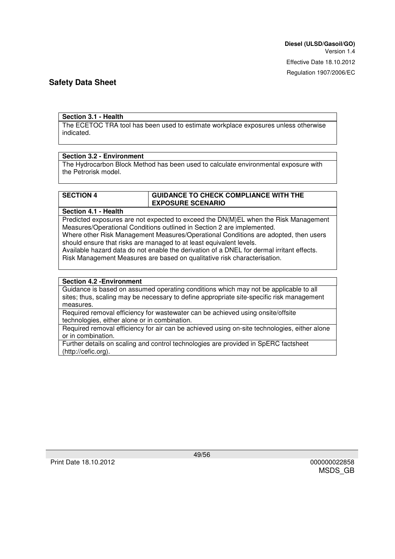#### **Section 3.1 - Health**

The ECETOC TRA tool has been used to estimate workplace exposures unless otherwise indicated.

#### **Section 3.2 - Environment**

The Hydrocarbon Block Method has been used to calculate environmental exposure with the Petrorisk model.

#### **SECTION 4 GUIDANCE TO CHECK COMPLIANCE WITH THE EXPOSURE SCENARIO**

**Section 4.1 - Health**

Predicted exposures are not expected to exceed the DN(M)EL when the Risk Management Measures/Operational Conditions outlined in Section 2 are implemented.

Where other Risk Management Measures/Operational Conditions are adopted, then users should ensure that risks are managed to at least equivalent levels. Available hazard data do not enable the derivation of a DNEL for dermal irritant effects.

Risk Management Measures are based on qualitative risk characterisation.

#### **Section 4.2 -Environment**

Guidance is based on assumed operating conditions which may not be applicable to all sites; thus, scaling may be necessary to define appropriate site-specific risk management measures.

Required removal efficiency for wastewater can be achieved using onsite/offsite technologies, either alone or in combination.

Required removal efficiency for air can be achieved using on-site technologies, either alone or in combination.

Further details on scaling and control technologies are provided in SpERC factsheet (http://cefic.org).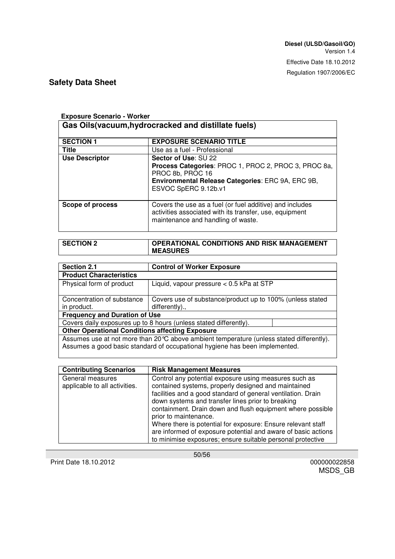٦

# **Safety Data Sheet**

#### **Exposure Scenario - Worker**

| Gas Oils (vacuum, hydrocracked and distillate fuels) |                                                                                                                                                                               |  |
|------------------------------------------------------|-------------------------------------------------------------------------------------------------------------------------------------------------------------------------------|--|
| <b>SECTION 1</b>                                     | <b>EXPOSURE SCENARIO TITLE</b>                                                                                                                                                |  |
| <b>Title</b>                                         | Use as a fuel - Professional                                                                                                                                                  |  |
| <b>Use Descriptor</b>                                | Sector of Use: SU 22<br>Process Categories: PROC 1, PROC 2, PROC 3, PROC 8a,<br>PROC 8b, PROC 16<br>Environmental Release Categories: ERC 9A, ERC 9B,<br>ESVOC SpERC 9.12b.v1 |  |
| Scope of process                                     | Covers the use as a fuel (or fuel additive) and includes<br>activities associated with its transfer, use, equipment<br>maintenance and handling of waste.                     |  |

#### **SECTION 2 OPERATIONAL CONDITIONS AND RISK MANAGEMENT MEASURES**

| <b>Section 2.1</b>                                                                                                                                                       | <b>Control of Worker Exposure</b>                                           |  |  |
|--------------------------------------------------------------------------------------------------------------------------------------------------------------------------|-----------------------------------------------------------------------------|--|--|
| <b>Product Characteristics</b>                                                                                                                                           |                                                                             |  |  |
| Physical form of product                                                                                                                                                 | Liquid, vapour pressure $< 0.5$ kPa at STP                                  |  |  |
| Concentration of substance<br>in product.                                                                                                                                | Covers use of substance/product up to 100% (unless stated<br>differently)., |  |  |
| <b>Frequency and Duration of Use</b>                                                                                                                                     |                                                                             |  |  |
| Covers daily exposures up to 8 hours (unless stated differently).                                                                                                        |                                                                             |  |  |
| <b>Other Operational Conditions affecting Exposure</b>                                                                                                                   |                                                                             |  |  |
| Assumes use at not more than 20 °C above ambient temperature (unless stated differently).<br>Assumes a good basic standard of occupational hygiene has been implemented. |                                                                             |  |  |
|                                                                                                                                                                          |                                                                             |  |  |

| <b>Contributing Scenarios</b>                     | <b>Risk Management Measures</b>                                                                                                                                                                                                                                                                                                                                                                                                                                                                                         |
|---------------------------------------------------|-------------------------------------------------------------------------------------------------------------------------------------------------------------------------------------------------------------------------------------------------------------------------------------------------------------------------------------------------------------------------------------------------------------------------------------------------------------------------------------------------------------------------|
| General measures<br>applicable to all activities. | Control any potential exposure using measures such as<br>contained systems, properly designed and maintained<br>facilities and a good standard of general ventilation. Drain<br>down systems and transfer lines prior to breaking<br>containment. Drain down and flush equipment where possible<br>prior to maintenance.<br>Where there is potential for exposure: Ensure relevant staff<br>are informed of exposure potential and aware of basic actions<br>to minimise exposures; ensure suitable personal protective |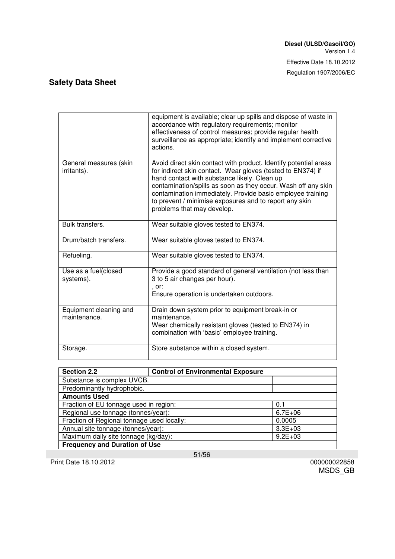|                                        | equipment is available; clear up spills and dispose of waste in<br>accordance with regulatory requirements; monitor<br>effectiveness of control measures; provide regular health<br>surveillance as appropriate; identify and implement corrective<br>actions.                                                                                                                                         |
|----------------------------------------|--------------------------------------------------------------------------------------------------------------------------------------------------------------------------------------------------------------------------------------------------------------------------------------------------------------------------------------------------------------------------------------------------------|
| General measures (skin<br>irritants).  | Avoid direct skin contact with product. Identify potential areas<br>for indirect skin contact. Wear gloves (tested to EN374) if<br>hand contact with substance likely. Clean up<br>contamination/spills as soon as they occur. Wash off any skin<br>contamination immediately. Provide basic employee training<br>to prevent / minimise exposures and to report any skin<br>problems that may develop. |
| Bulk transfers.                        | Wear suitable gloves tested to EN374.                                                                                                                                                                                                                                                                                                                                                                  |
| Drum/batch transfers.                  | Wear suitable gloves tested to EN374.                                                                                                                                                                                                                                                                                                                                                                  |
| Refueling.                             | Wear suitable gloves tested to EN374.                                                                                                                                                                                                                                                                                                                                                                  |
| Use as a fuel(closed<br>systems).      | Provide a good standard of general ventilation (not less than<br>3 to 5 air changes per hour).<br>, or:<br>Ensure operation is undertaken outdoors.                                                                                                                                                                                                                                                    |
| Equipment cleaning and<br>maintenance. | Drain down system prior to equipment break-in or<br>maintenance.<br>Wear chemically resistant gloves (tested to EN374) in<br>combination with 'basic' employee training.                                                                                                                                                                                                                               |
| Storage.                               | Store substance within a closed system.                                                                                                                                                                                                                                                                                                                                                                |

| <b>Section 2.2</b>                         | <b>Control of Environmental Exposure</b> |             |
|--------------------------------------------|------------------------------------------|-------------|
| Substance is complex UVCB.                 |                                          |             |
| Predominantly hydrophobic.                 |                                          |             |
| <b>Amounts Used</b>                        |                                          |             |
| Fraction of EU tonnage used in region:     |                                          | 0.1         |
| Regional use tonnage (tonnes/year):        |                                          | $6.7E + 06$ |
| Fraction of Regional tonnage used locally: |                                          | 0.0005      |
| Annual site tonnage (tonnes/year):         |                                          | $3.3E + 03$ |
| Maximum daily site tonnage (kg/day):       |                                          | $9.2E + 03$ |
| <b>Frequency and Duration of Use</b>       |                                          |             |

51/56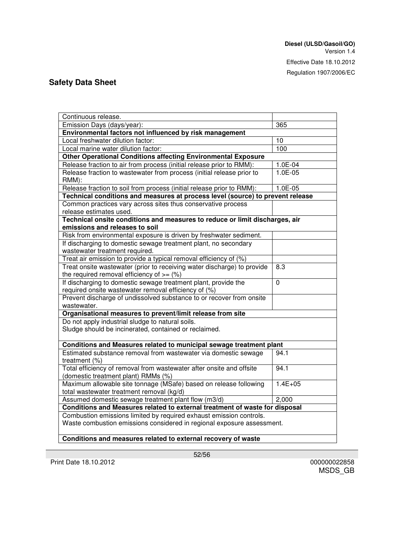Regulation 1907/2006/EC

# **Safety Data Sheet**

| Continuous release.                                                            |                |
|--------------------------------------------------------------------------------|----------------|
| Emission Days (days/year):                                                     | 365            |
| Environmental factors not influenced by risk management                        |                |
| Local freshwater dilution factor:                                              | 10             |
| Local marine water dilution factor:                                            | 100            |
| <b>Other Operational Conditions affecting Environmental Exposure</b>           |                |
| Release fraction to air from process (initial release prior to RMM):           | 1.0E-04        |
| Release fraction to wastewater from process (initial release prior to          | 1.0E-05        |
| RMM):                                                                          |                |
| Release fraction to soil from process (initial release prior to RMM):          | 1.0E-05        |
| Technical conditions and measures at process level (source) to prevent release |                |
| Common practices vary across sites thus conservative process                   |                |
| release estimates used.                                                        |                |
| Technical onsite conditions and measures to reduce or limit discharges, air    |                |
| emissions and releases to soil                                                 |                |
| Risk from environmental exposure is driven by freshwater sediment.             |                |
| If discharging to domestic sewage treatment plant, no secondary                |                |
| wastewater treatment required.                                                 |                |
| Treat air emission to provide a typical removal efficiency of (%)              |                |
| Treat onsite wastewater (prior to receiving water discharge) to provide        | 8.3            |
| the required removal efficiency of $=$ (%)                                     |                |
| If discharging to domestic sewage treatment plant, provide the                 | $\overline{0}$ |
| required onsite wastewater removal efficiency of (%)                           |                |
| Prevent discharge of undissolved substance to or recover from onsite           |                |
| wastewater.                                                                    |                |
| Organisational measures to prevent/limit release from site                     |                |
| Do not apply industrial sludge to natural soils.                               |                |
| Sludge should be incinerated, contained or reclaimed.                          |                |
|                                                                                |                |
| Conditions and Measures related to municipal sewage treatment plant            |                |
| Estimated substance removal from wastewater via domestic sewage                | 94.1           |
| treatment $(\%)$                                                               |                |
| Total efficiency of removal from wastewater after onsite and offsite           | 94.1           |
| (domestic treatment plant) RMMs (%)                                            |                |
| Maximum allowable site tonnage (MSafe) based on release following              | $1.4E + 05$    |
| total wastewater treatment removal (kg/d)                                      |                |
| Assumed domestic sewage treatment plant flow (m3/d)                            | 2,000          |
| Conditions and Measures related to external treatment of waste for disposal    |                |
| Combustion emissions limited by required exhaust emission controls.            |                |
| Waste combustion emissions considered in regional exposure assessment.         |                |
|                                                                                |                |
| Conditions and measures related to external recovery of waste                  |                |

52/56

Print Date 18.10.2012 000000022858

MSDS\_GB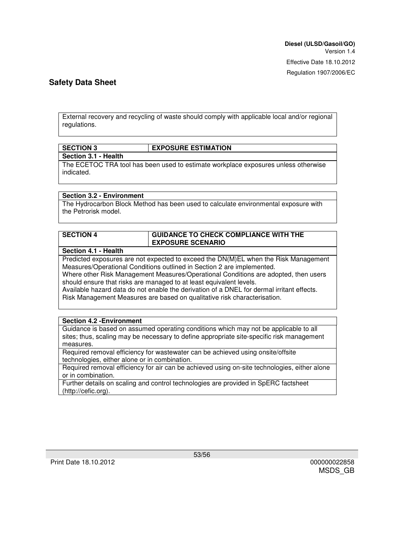External recovery and recycling of waste should comply with applicable local and/or regional regulations.

| <b>SECTION 3</b>                                                                   | <b>EXPOSURE ESTIMATION</b> |  |
|------------------------------------------------------------------------------------|----------------------------|--|
| Section 3.1 - Health                                                               |                            |  |
| The ECETOC TRA tool has been used to estimate workplace exposures unless otherwise |                            |  |
| indicated.                                                                         |                            |  |

#### **Section 3.2 - Environment**

The Hydrocarbon Block Method has been used to calculate environmental exposure with the Petrorisk model.

| <b>SECTION 4</b> | <b>GUIDANCE TO CHECK COMPLIANCE WITH THE</b><br><b>EXPOSURE SCENARIO</b> |
|------------------|--------------------------------------------------------------------------|
|                  |                                                                          |

**Section 4.1 - Health**

Predicted exposures are not expected to exceed the DN(M)EL when the Risk Management Measures/Operational Conditions outlined in Section 2 are implemented. Where other Risk Management Measures/Operational Conditions are adopted, then users

should ensure that risks are managed to at least equivalent levels. Available hazard data do not enable the derivation of a DNEL for dermal irritant effects. Risk Management Measures are based on qualitative risk characterisation.

#### **Section 4.2 -Environment**

Guidance is based on assumed operating conditions which may not be applicable to all sites; thus, scaling may be necessary to define appropriate site-specific risk management measures.

Required removal efficiency for wastewater can be achieved using onsite/offsite technologies, either alone or in combination.

Required removal efficiency for air can be achieved using on-site technologies, either alone or in combination.

Further details on scaling and control technologies are provided in SpERC factsheet (http://cefic.org).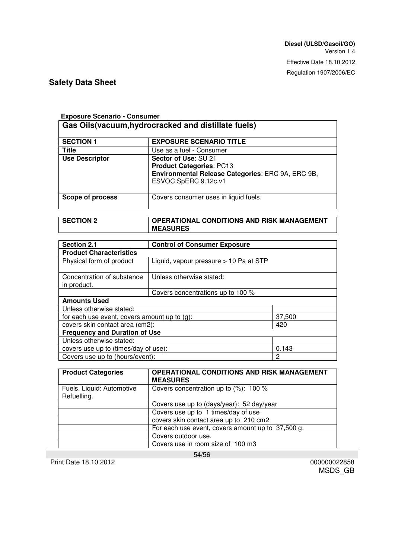٦

# **Safety Data Sheet**

#### **Exposure Scenario - Consumer**

| Gas Oils (vacuum, hydrocracked and distillate fuels) |                                                                                                                                      |  |
|------------------------------------------------------|--------------------------------------------------------------------------------------------------------------------------------------|--|
| <b>SECTION 1</b>                                     | <b>EXPOSURE SCENARIO TITLE</b>                                                                                                       |  |
| <b>Title</b>                                         | Use as a fuel - Consumer                                                                                                             |  |
| <b>Use Descriptor</b>                                | Sector of Use: SU 21<br><b>Product Categories: PC13</b><br>Environmental Release Categories: ERC 9A, ERC 9B,<br>ESVOC SpERC 9.12c.v1 |  |
| Scope of process                                     | Covers consumer uses in liquid fuels.                                                                                                |  |

| <b>SECTION 2</b> | <b>OPERATIONAL CONDITIONS AND RISK MANAGEMENT</b> |
|------------------|---------------------------------------------------|
|                  | <b>MEASURES</b>                                   |

| <b>Section 2.1</b>                              | <b>Control of Consumer Exposure</b>    |        |
|-------------------------------------------------|----------------------------------------|--------|
| <b>Product Characteristics</b>                  |                                        |        |
| Physical form of product                        | Liquid, vapour pressure > 10 Pa at STP |        |
| Concentration of substance<br>in product.       | Unless otherwise stated:               |        |
|                                                 | Covers concentrations up to 100 %      |        |
| <b>Amounts Used</b>                             |                                        |        |
| Unless otherwise stated:                        |                                        |        |
| for each use event, covers amount up to $(g)$ : |                                        | 37,500 |
| covers skin contact area (cm2):                 |                                        | 420    |
| <b>Frequency and Duration of Use</b>            |                                        |        |
| Unless otherwise stated:                        |                                        |        |
| covers use up to (times/day of use):            |                                        | 0.143  |
| Covers use up to (hours/event):                 |                                        | 2      |

| <b>Product Categories</b>                | <b>OPERATIONAL CONDITIONS AND RISK MANAGEMENT</b><br><b>MEASURES</b> |
|------------------------------------------|----------------------------------------------------------------------|
| Fuels. Liquid: Automotive<br>Refuelling. | Covers concentration up to $(\%)$ : 100 %                            |
|                                          | Covers use up to (days/year): 52 day/year                            |
|                                          | Covers use up to 1 times/day of use                                  |
|                                          | covers skin contact area up to 210 cm2                               |
|                                          | For each use event, covers amount up to 37,500 g.                    |
|                                          | Covers outdoor use.                                                  |
|                                          | Covers use in room size of 100 m3                                    |

Print Date 18.10.2012 000000022858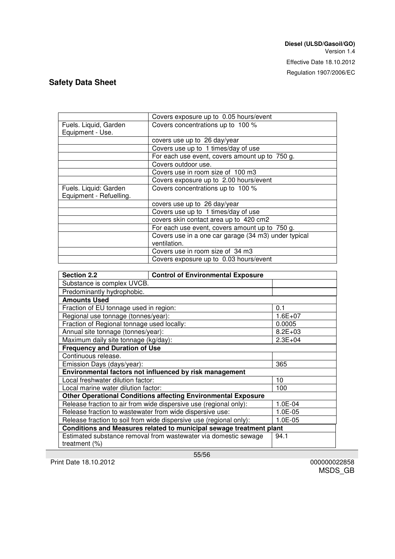|                         | Covers exposure up to 0.05 hours/event               |
|-------------------------|------------------------------------------------------|
| Fuels. Liquid, Garden   | Covers concentrations up to 100 %                    |
| Equipment - Use.        |                                                      |
|                         | covers use up to 26 day/year                         |
|                         | Covers use up to 1 times/day of use                  |
|                         | For each use event, covers amount up to 750 g.       |
|                         | Covers outdoor use.                                  |
|                         | Covers use in room size of 100 m3                    |
|                         | Covers exposure up to 2.00 hours/event               |
| Fuels. Liquid: Garden   | Covers concentrations up to 100 %                    |
| Equipment - Refuelling. |                                                      |
|                         | covers use up to 26 day/year                         |
|                         | Covers use up to 1 times/day of use                  |
|                         | covers skin contact area up to 420 cm2               |
|                         | For each use event, covers amount up to 750 g.       |
|                         | Covers use in a one car garage (34 m3) under typical |
|                         | ventilation.                                         |
|                         | Covers use in room size of 34 m3                     |
|                         | Covers exposure up to 0.03 hours/event               |

| <b>Section 2.2</b>                                                   | <b>Control of Environmental Exposure</b>                          |             |  |
|----------------------------------------------------------------------|-------------------------------------------------------------------|-------------|--|
| Substance is complex UVCB.                                           |                                                                   |             |  |
| Predominantly hydrophobic.                                           |                                                                   |             |  |
| <b>Amounts Used</b>                                                  |                                                                   |             |  |
| Fraction of EU tonnage used in region:                               |                                                                   | 0.1         |  |
| Regional use tonnage (tonnes/year):                                  |                                                                   | $1.6E + 07$ |  |
| Fraction of Regional tonnage used locally:                           |                                                                   | 0.0005      |  |
| Annual site tonnage (tonnes/year):                                   |                                                                   | $8.2E + 03$ |  |
| Maximum daily site tonnage (kg/day):                                 |                                                                   | $2.3E + 04$ |  |
| <b>Frequency and Duration of Use</b>                                 |                                                                   |             |  |
| Continuous release.                                                  |                                                                   |             |  |
| Emission Days (days/year):                                           |                                                                   | 365         |  |
| Environmental factors not influenced by risk management              |                                                                   |             |  |
| Local freshwater dilution factor:                                    |                                                                   | 10          |  |
| Local marine water dilution factor:                                  |                                                                   | 100         |  |
| <b>Other Operational Conditions affecting Environmental Exposure</b> |                                                                   |             |  |
|                                                                      | Release fraction to air from wide dispersive use (regional only): | 1.0E-04     |  |
| Release fraction to wastewater from wide dispersive use:             |                                                                   | 1.0E-05     |  |
| Release fraction to soil from wide dispersive use (regional only):   |                                                                   | 1.0E-05     |  |
| Conditions and Measures related to municipal sewage treatment plant  |                                                                   |             |  |
| treatment $(\%)$                                                     | Estimated substance removal from wastewater via domestic sewage   | 94.1        |  |

Print Date 18.10.2012 000000022858

55/56

MSDS\_GB